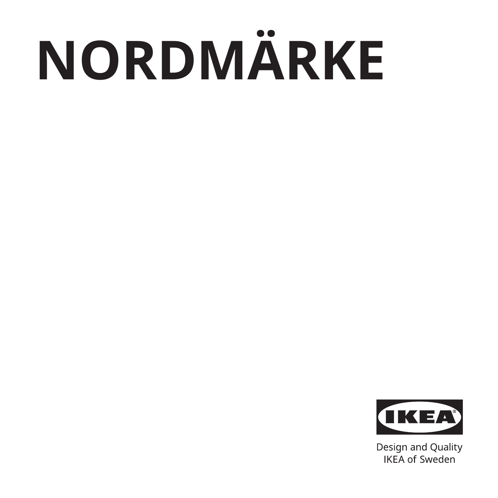## **NORDMÄRKE**



Design and Quality IKEA of Sweden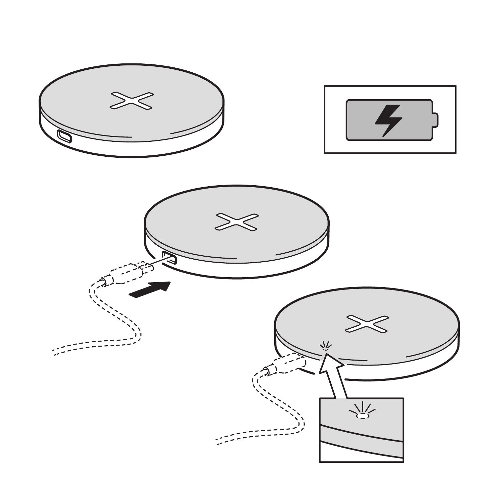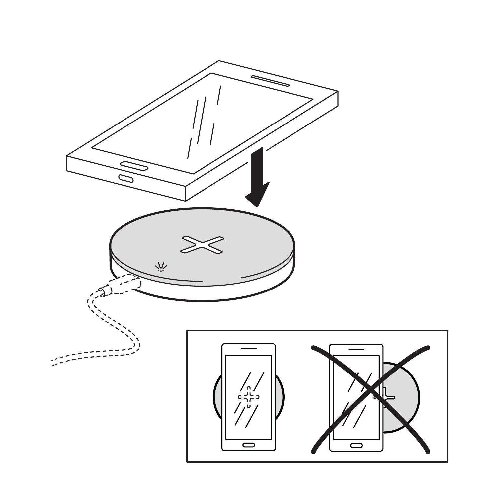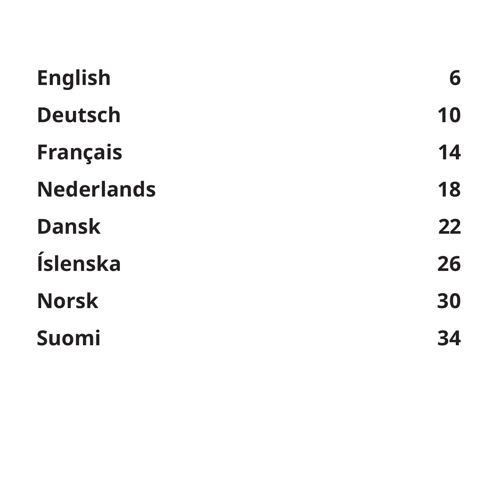| <b>English</b>    | 6  |
|-------------------|----|
| <b>Deutsch</b>    | 10 |
| <b>Français</b>   | 14 |
| <b>Nederlands</b> | 18 |
| <b>Dansk</b>      | 22 |
| Íslenska          | 26 |
| <b>Norsk</b>      | 30 |
| Suomi             | 34 |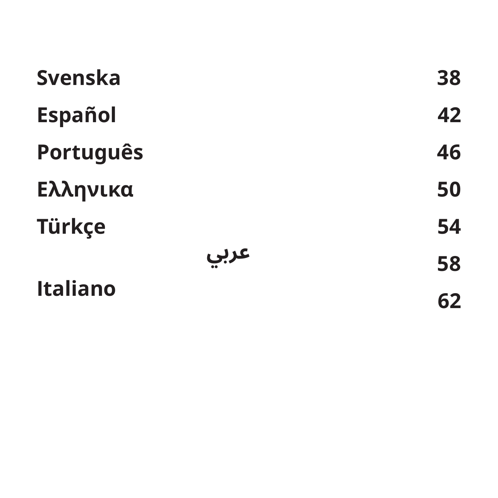| Svenska          | 38 |
|------------------|----|
| <b>Español</b>   | 42 |
| <b>Português</b> | 46 |
| Ελληνικα         | 50 |
| Türkçe           | 54 |
| عربي             | 58 |
| <b>Italiano</b>  | 62 |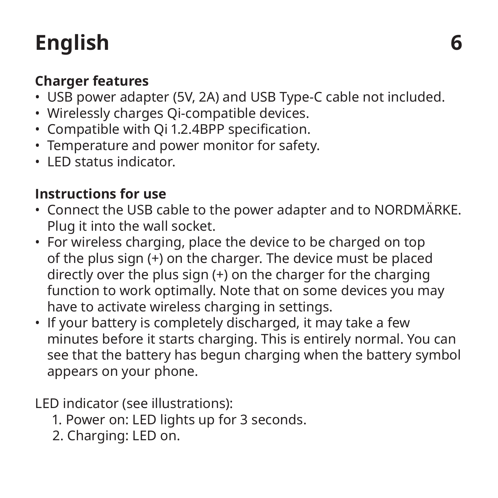## **English 6**

#### **Charger features**

- USB power adapter (5V, 2A) and USB Type-C cable not included.
- Wirelessly charges Qi-compatible devices.
- Compatible with Qi 1.2.4BPP specification.
- Temperature and power monitor for safety.
- LED status indicator.

#### **Instructions for use**

- Connect the USB cable to the power adapter and to NORDMÄRKE. Plug it into the wall socket.
- For wireless charging, place the device to be charged on top of the plus sign (+) on the charger. The device must be placed directly over the plus sign (+) on the charger for the charging function to work optimally. Note that on some devices you may have to activate wireless charging in settings.
- If your battery is completely discharged, it may take a few minutes before it starts charging. This is entirely normal. You can see that the battery has begun charging when the battery symbol appears on your phone.

LED indicator (see illustrations):

- 1. Power on: LED lights up for 3 seconds.
- 2. Charging: LED on.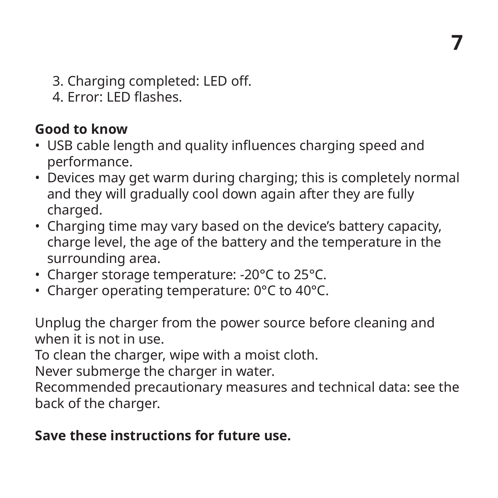3. Charging completed: LED off.

4. Error: LED flashes.

#### **Good to know**

- USB cable length and quality influences charging speed and performance.
- Devices may get warm during charging; this is completely normal and they will gradually cool down again after they are fully charged.
- Charging time may vary based on the device's battery capacity, charge level, the age of the battery and the temperature in the surrounding area.
- Charger storage temperature: -20°C to 25°C.
- Charger operating temperature: 0°C to 40°C.

Unplug the charger from the power source before cleaning and when it is not in use.

To clean the charger, wipe with a moist cloth.

Never submerge the charger in water.

Recommended precautionary measures and technical data: see the back of the charger.

#### **Save these instructions for future use.**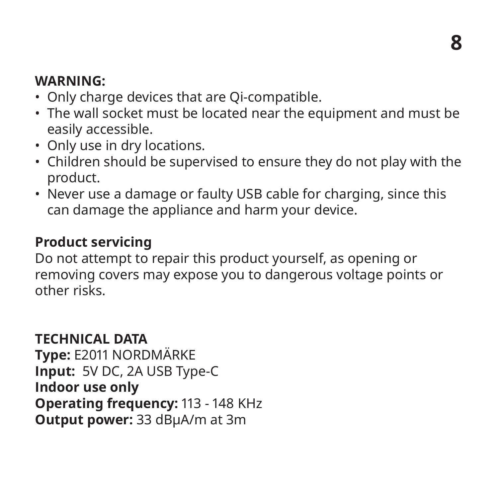#### **WARNING:**

- Only charge devices that are Qi-compatible.
- The wall socket must be located near the equipment and must be easily accessible.
- Only use in dry locations.
- Children should be supervised to ensure they do not play with the product.
- Never use a damage or faulty USB cable for charging, since this can damage the appliance and harm your device.

#### **Product servicing**

Do not attempt to repair this product yourself, as opening or removing covers may expose you to dangerous voltage points or other risks.

#### **TECHNICAL DATA**

**Type:** E2011 NORDMÄRKE **Input:** 5V DC, 2A USB Type-C **Indoor use only Operating frequency:** 113 - 148 KHz **Output power:** 33 dBµA/m at 3m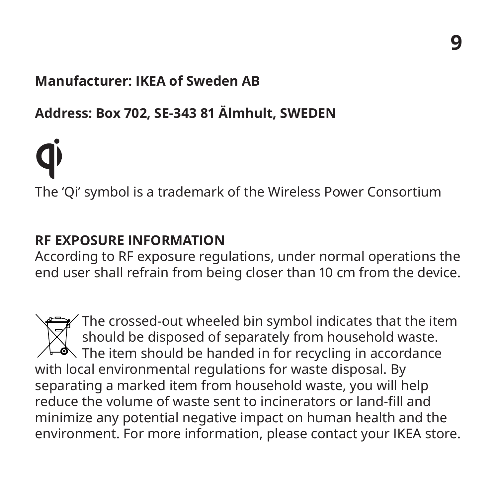#### **Manufacturer: IKEA of Sweden AB**

#### **Address: Box 702, SE-343 81 Älmhult, SWEDEN**

The 'Qi' symbol is a trademark of the Wireless Power Consortium

#### **RF EXPOSURE INFORMATION**

According to RF exposure regulations, under normal operations the end user shall refrain from being closer than 10 cm from the device.

The crossed-out wheeled bin symbol indicates that the item should be disposed of separately from household waste.  $\stackrel{\bullet}{\bullet}$  The item should be handed in for recycling in accordance with local environmental regulations for waste disposal. By separating a marked item from household waste, you will help reduce the volume of waste sent to incinerators or land-fill and minimize any potential negative impact on human health and the environment. For more information, please contact your IKEA store.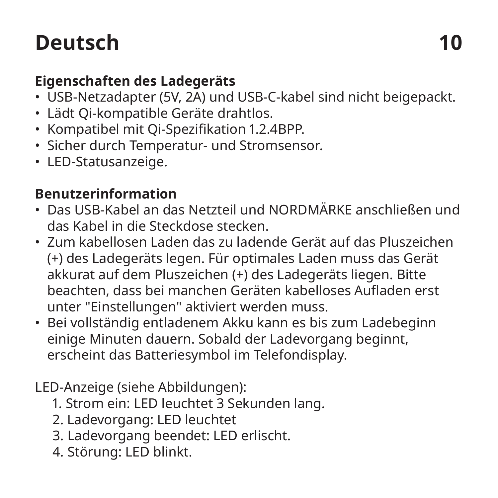## **Deutsch 10**

#### **Eigenschaften des Ladegeräts**

- USB-Netzadapter (5V, 2A) und USB-C-kabel sind nicht beigepackt.
- Lädt Qi-kompatible Geräte drahtlos.
- Kompatibel mit Qi-Spezifikation 1.2.4BPP.
- Sicher durch Temperatur- und Stromsensor.
- LED-Statusanzeige.

#### **Benutzerinformation**

- Das USB-Kabel an das Netzteil und NORDMÄRKE anschließen und das Kabel in die Steckdose stecken.
- Zum kabellosen Laden das zu ladende Gerät auf das Pluszeichen (+) des Ladegeräts legen. Für optimales Laden muss das Gerät akkurat auf dem Pluszeichen (+) des Ladegeräts liegen. Bitte beachten, dass bei manchen Geräten kabelloses Aufladen erst unter "Einstellungen" aktiviert werden muss.
- Bei vollständig entladenem Akku kann es bis zum Ladebeginn einige Minuten dauern. Sobald der Ladevorgang beginnt, erscheint das Batteriesymbol im Telefondisplay.

#### LED-Anzeige (siehe Abbildungen):

- 1. Strom ein: LED leuchtet 3 Sekunden lang.
- 2. Ladevorgang: LED leuchtet
- 3. Ladevorgang beendet: LED erlischt.
- 4. Störung: LED blinkt.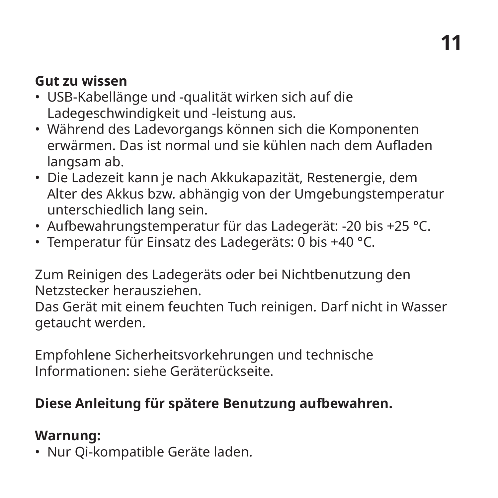## **11**

#### **Gut zu wissen**

- USB-Kabellänge und -qualität wirken sich auf die Ladegeschwindigkeit und -leistung aus.
- Während des Ladevorgangs können sich die Komponenten erwärmen. Das ist normal und sie kühlen nach dem Aufladen langsam ab.
- Die Ladezeit kann je nach Akkukapazität, Restenergie, dem Alter des Akkus bzw. abhängig von der Umgebungstemperatur unterschiedlich lang sein.
- Aufbewahrungstemperatur für das Ladegerät: -20 bis +25 °C.
- Temperatur für Einsatz des Ladegeräts: 0 bis +40 °C.

Zum Reinigen des Ladegeräts oder bei Nichtbenutzung den Netzstecker herausziehen.

Das Gerät mit einem feuchten Tuch reinigen. Darf nicht in Wasser getaucht werden.

Empfohlene Sicherheitsvorkehrungen und technische Informationen: siehe Geräterückseite.

#### **Diese Anleitung für spätere Benutzung aufbewahren.**

#### **Warnung:**

• Nur Qi-kompatible Geräte laden.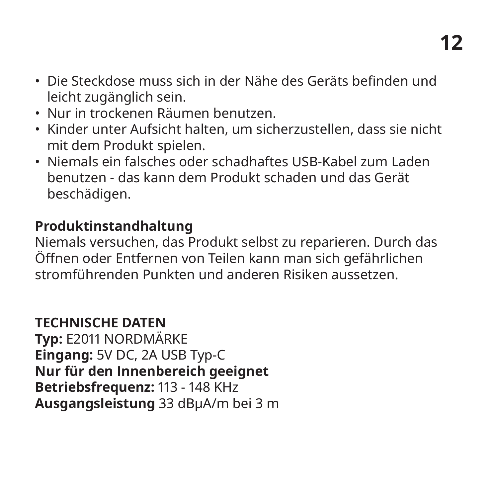- Die Steckdose muss sich in der Nähe des Geräts befinden und leicht zugänglich sein.
- Nur in trockenen Räumen benutzen.
- Kinder unter Aufsicht halten, um sicherzustellen, dass sie nicht mit dem Produkt spielen.
- Niemals ein falsches oder schadhaftes USB-Kabel zum Laden benutzen - das kann dem Produkt schaden und das Gerät beschädigen.

#### **Produktinstandhaltung**

Niemals versuchen, das Produkt selbst zu reparieren. Durch das Öffnen oder Entfernen von Teilen kann man sich gefährlichen stromführenden Punkten und anderen Risiken aussetzen.

#### **TECHNISCHE DATEN**

**Typ:** E2011 NORDMÄRKE **Eingang:** 5V DC, 2A USB Typ-C **Nur für den Innenbereich geeignet Betriebsfrequenz:** 113 - 148 KHz **Ausgangsleistung** 33 dBµA/m bei 3 m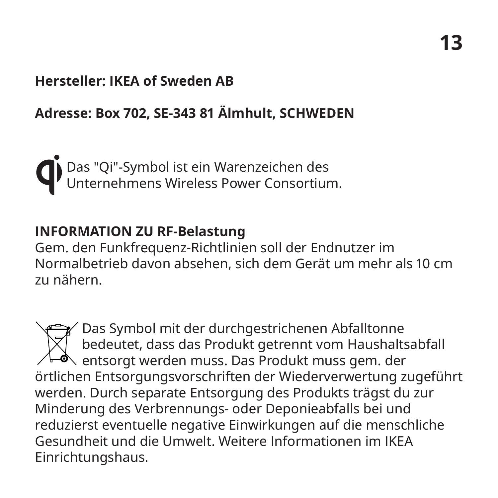#### **Hersteller: IKEA of Sweden AB**

#### **Adresse: Box 702, SE-343 81 Älmhult, SCHWEDEN**

Das "Qi"-Symbol ist ein Warenzeichen des Unternehmens Wireless Power Consortium.

#### **INFORMATION ZU RF-Belastung**

Gem. den Funkfrequenz-Richtlinien soll der Endnutzer im Normalbetrieb davon absehen, sich dem Gerät um mehr als 10 cm zu nähern.

Das Symbol mit der durchgestrichenen Abfalltonne bedeutet, dass das Produkt getrennt vom Haushaltsabfall  $\backslash$  entsorgt werden muss. Das Produkt muss gem. der örtlichen Entsorgungsvorschriften der Wiederverwertung zugeführt werden. Durch separate Entsorgung des Produkts trägst du zur Minderung des Verbrennungs- oder Deponieabfalls bei und reduzierst eventuelle negative Einwirkungen auf die menschliche Gesundheit und die Umwelt. Weitere Informationen im IKEA Einrichtungshaus.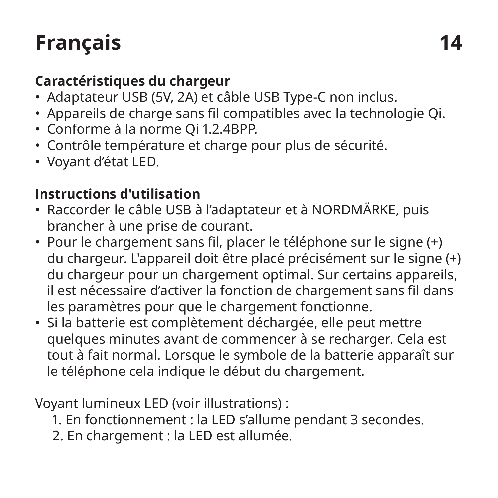## **Français**

#### **Caractéristiques du chargeur**

- Adaptateur USB (5V, 2A) et câble USB Type-C non inclus.
- Appareils de charge sans fil compatibles avec la technologie Qi.
- Conforme à la norme Qi 1.2.4BPP.
- Contrôle température et charge pour plus de sécurité.
- Voyant d'état LED.

#### **Instructions d'utilisation**

- Raccorder le câble USB à l'adaptateur et à NORDMÄRKE, puis brancher à une prise de courant.
- Pour le chargement sans fil, placer le téléphone sur le signe (+) du chargeur. L'appareil doit être placé précisément sur le signe (+) du chargeur pour un chargement optimal. Sur certains appareils, il est nécessaire d'activer la fonction de chargement sans fil dans les paramètres pour que le chargement fonctionne.
- Si la batterie est complètement déchargée, elle peut mettre quelques minutes avant de commencer à se recharger. Cela est tout à fait normal. Lorsque le symbole de la batterie apparaît sur le téléphone cela indique le début du chargement.

Voyant lumineux LED (voir illustrations) :

- 1. En fonctionnement : la LED s'allume pendant 3 secondes.
- 2. En chargement : la LED est allumée.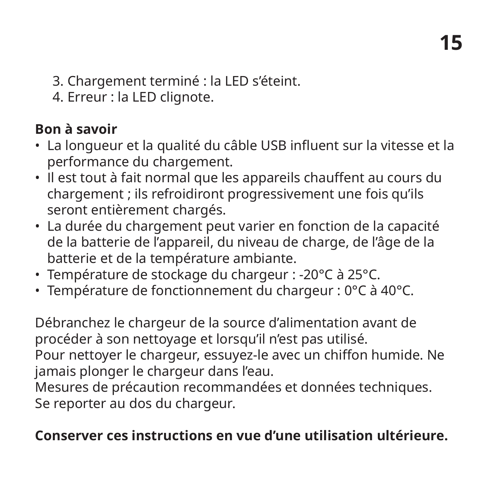3. Chargement terminé : la LED s'éteint.

4. Erreur : la LED clignote.

#### **Bon à savoir**

- La longueur et la qualité du câble USB influent sur la vitesse et la performance du chargement.
- Il est tout à fait normal que les appareils chauffent au cours du chargement ; ils refroidiront progressivement une fois qu'ils seront entièrement chargés.
- La durée du chargement peut varier en fonction de la capacité de la batterie de l'appareil, du niveau de charge, de l'âge de la batterie et de la température ambiante.
- Température de stockage du chargeur : -20°C à 25°C.
- Température de fonctionnement du chargeur : 0°C à 40°C.

Débranchez le chargeur de la source d'alimentation avant de procéder à son nettoyage et lorsqu'il n'est pas utilisé. Pour nettoyer le chargeur, essuyez-le avec un chiffon humide. Ne

jamais plonger le chargeur dans l'eau.

Mesures de précaution recommandées et données techniques. Se reporter au dos du chargeur.

#### **Conserver ces instructions en vue d'une utilisation ultérieure.**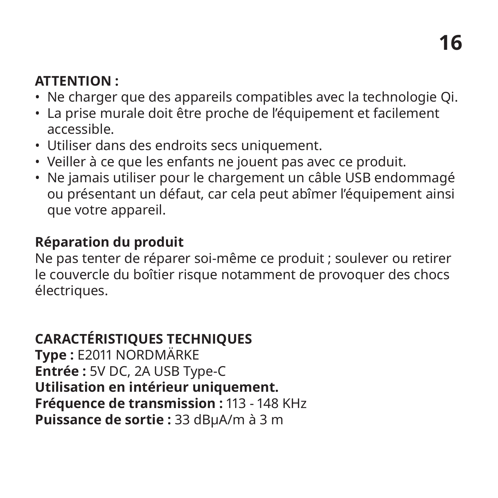## **16**

#### **ATTENTION :**

- Ne charger que des appareils compatibles avec la technologie Qi.
- La prise murale doit être proche de l'équipement et facilement accessible.
- Utiliser dans des endroits secs uniquement.
- Veiller à ce que les enfants ne jouent pas avec ce produit.
- Ne jamais utiliser pour le chargement un câble USB endommagé ou présentant un défaut, car cela peut abîmer l'équipement ainsi que votre appareil.

#### **Réparation du produit**

Ne pas tenter de réparer soi-même ce produit ; soulever ou retirer le couvercle du boîtier risque notamment de provoquer des chocs électriques.

#### **CARACTÉRISTIQUES TECHNIQUES**

**Type :** E2011 NORDMÄRKE **Entrée :** 5V DC, 2A USB Type-C **Utilisation en intérieur uniquement. Fréquence de transmission :** 113 - 148 KHz **Puissance de sortie :** 33 dBµA/m à 3 m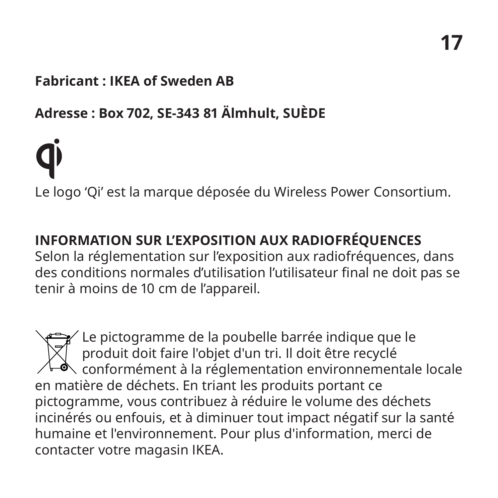## **17**

#### **Fabricant : IKEA of Sweden AB**

#### **Adresse : Box 702, SE-343 81 Älmhult, SUÈDE**

Le logo 'Qi' est la marque déposée du Wireless Power Consortium.

#### **INFORMATION SUR L'EXPOSITION AUX RADIOFRÉQUENCES**

Selon la réglementation sur l'exposition aux radiofréquences, dans des conditions normales d'utilisation l'utilisateur final ne doit pas se tenir à moins de 10 cm de l'appareil.

Le pictogramme de la poubelle barrée indique que le produit doit faire l'objet d'un tri. Il doit être recyclé  $\triangle$  conformément à la réglementation environnementale locale en matière de déchets. En triant les produits portant ce pictogramme, vous contribuez à réduire le volume des déchets incinérés ou enfouis, et à diminuer tout impact négatif sur la santé humaine et l'environnement. Pour plus d'information, merci de contacter votre magasin IKEA.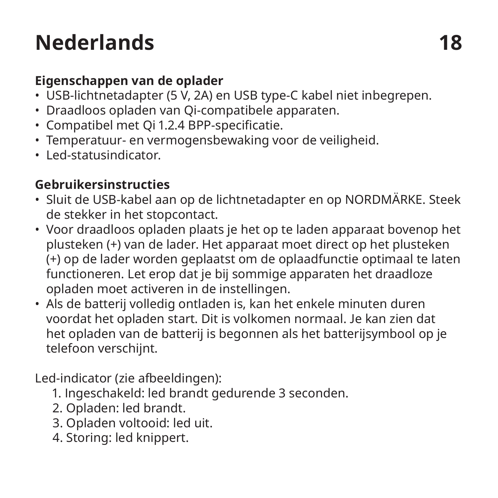## **Nederlands 18**

#### **Eigenschappen van de oplader**

- USB-lichtnetadapter (5 V, 2A) en USB type-C kabel niet inbegrepen.
- Draadloos opladen van Qi-compatibele apparaten.
- Compatibel met Qi 1.2.4 BPP-specificatie.
- Temperatuur- en vermogensbewaking voor de veiligheid.
- Led-statusindicator.

#### **Gebruikersinstructies**

- Sluit de USB-kabel aan op de lichtnetadapter en op NORDMÄRKE. Steek de stekker in het stopcontact.
- Voor draadloos opladen plaats je het op te laden apparaat bovenop het plusteken (+) van de lader. Het apparaat moet direct op het plusteken (+) op de lader worden geplaatst om de oplaadfunctie optimaal te laten functioneren. Let erop dat je bij sommige apparaten het draadloze opladen moet activeren in de instellingen.
- Als de batterij volledig ontladen is, kan het enkele minuten duren voordat het opladen start. Dit is volkomen normaal. Je kan zien dat het opladen van de batterij is begonnen als het batterijsymbool op je telefoon verschijnt.

Led-indicator (zie afbeeldingen):

- 1. Ingeschakeld: led brandt gedurende 3 seconden.
- 2. Opladen: led brandt.
- 3. Opladen voltooid: led uit.
- 4. Storing: led knippert.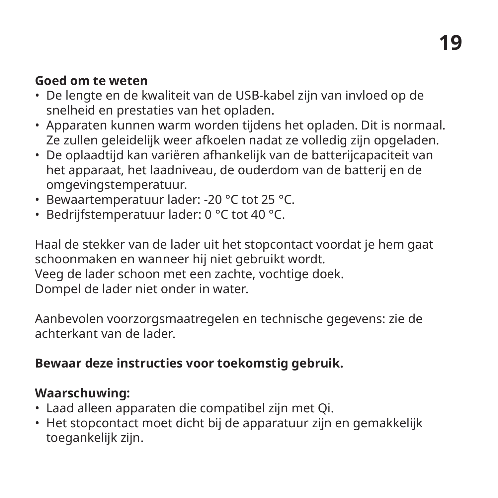#### **Goed om te weten**

- De lengte en de kwaliteit van de USB-kabel zijn van invloed op de snelheid en prestaties van het opladen.
- Apparaten kunnen warm worden tijdens het opladen. Dit is normaal. Ze zullen geleidelijk weer afkoelen nadat ze volledig zijn opgeladen.
- De oplaadtijd kan variëren afhankelijk van de batterijcapaciteit van het apparaat, het laadniveau, de ouderdom van de batterij en de omgevingstemperatuur.
- Bewaartemperatuur lader: -20 °C tot 25 °C.
- Bedrijfstemperatuur lader: 0 °C tot 40 °C.

Haal de stekker van de lader uit het stopcontact voordat je hem gaat schoonmaken en wanneer hij niet gebruikt wordt.

Veeg de lader schoon met een zachte, vochtige doek.

Dompel de lader niet onder in water.

Aanbevolen voorzorgsmaatregelen en technische gegevens: zie de achterkant van de lader.

#### **Bewaar deze instructies voor toekomstig gebruik.**

#### **Waarschuwing:**

- Laad alleen apparaten die compatibel zijn met Qi.
- Het stopcontact moet dicht bij de apparatuur zijn en gemakkelijk toegankelijk zijn.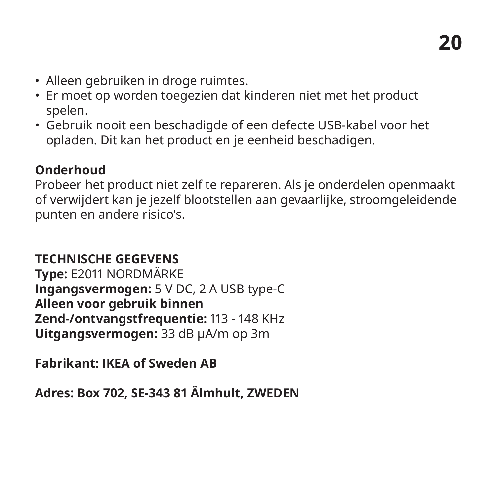- Alleen gebruiken in droge ruimtes.
- Er moet op worden toegezien dat kinderen niet met het product spelen.
- Gebruik nooit een beschadigde of een defecte USB-kabel voor het opladen. Dit kan het product en je eenheid beschadigen.

#### **Onderhoud**

Probeer het product niet zelf te repareren. Als je onderdelen openmaakt of verwijdert kan je jezelf blootstellen aan gevaarlijke, stroomgeleidende punten en andere risico's.

#### **TECHNISCHE GEGEVENS**

**Type:** E2011 NORDMÄRKE **Ingangsvermogen:** 5 V DC, 2 A USB type-C **Alleen voor gebruik binnen Zend-/ontvangstfrequentie:** 113 - 148 KHz **Uitgangsvermogen:** 33 dB μA/m op 3m

**Fabrikant: IKEA of Sweden AB**

**Adres: Box 702, SE-343 81 Älmhult, ZWEDEN**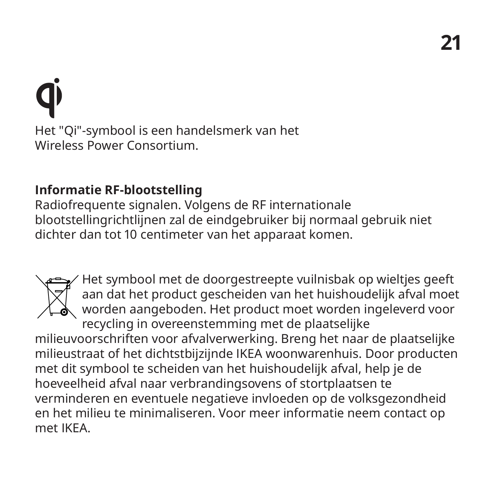Het "Qi"-symbool is een handelsmerk van het Wireless Power Consortium.

#### **Informatie RF-blootstelling**

Radiofrequente signalen. Volgens de RF internationale blootstellingrichtlijnen zal de eindgebruiker bij normaal gebruik niet dichter dan tot 10 centimeter van het apparaat komen.

Het symbool met de doorgestreepte vuilnisbak op wieltjes geeft aan dat het product gescheiden van het huishoudelijk afval moet worden aangeboden. Het product moet worden ingeleverd voor recycling in overeenstemming met de plaatselijke milieuvoorschriften voor afvalverwerking. Breng het naar de plaatselijke milieustraat of het dichtstbijzijnde IKEA woonwarenhuis. Door producten met dit symbool te scheiden van het huishoudelijk afval, help je de hoeveelheid afval naar verbrandingsovens of stortplaatsen te verminderen en eventuele negatieve invloeden op de volksgezondheid en het milieu te minimaliseren. Voor meer informatie neem contact op met IKEA.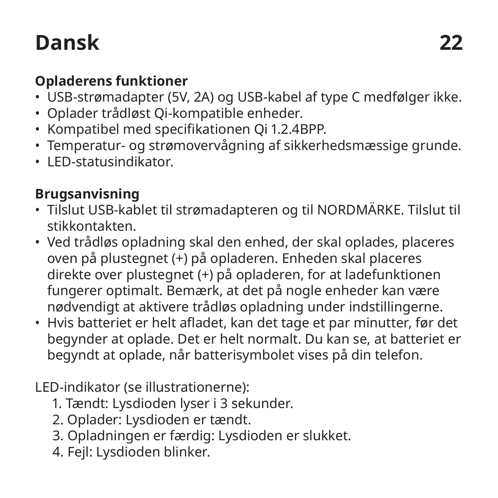## **Dansk 22**

#### **Opladerens funktioner**

- USB-strømadapter (5V, 2A) og USB-kabel af type C medfølger ikke.
- Oplader trådløst Qi-kompatible enheder.
- Kompatibel med specifikationen Qi 1.2.4BPP.
- Temperatur- og strømovervågning af sikkerhedsmæssige grunde.
- LED-statusindikator.

#### **Brugsanvisning**

- Tilslut USB-kablet til strømadapteren og til NORDMÄRKE. Tilslut til stikkontakten.
- Ved trådløs opladning skal den enhed, der skal oplades, placeres oven på plustegnet (+) på opladeren. Enheden skal placeres direkte over plustegnet (+) på opladeren, for at ladefunktionen fungerer optimalt. Bemærk, at det på nogle enheder kan være nødvendigt at aktivere trådløs opladning under indstillingerne.
- Hvis batteriet er helt afladet, kan det tage et par minutter, før det begynder at oplade. Det er helt normalt. Du kan se, at batteriet er begyndt at oplade, når batterisymbolet vises på din telefon.

#### LED-indikator (se illustrationerne):

- 1. Tændt: Lysdioden lyser i 3 sekunder.
- 2. Oplader: Lysdioden er tændt.
- 3. Opladningen er færdig: Lysdioden er slukket.
- 4. Fejl: Lysdioden blinker.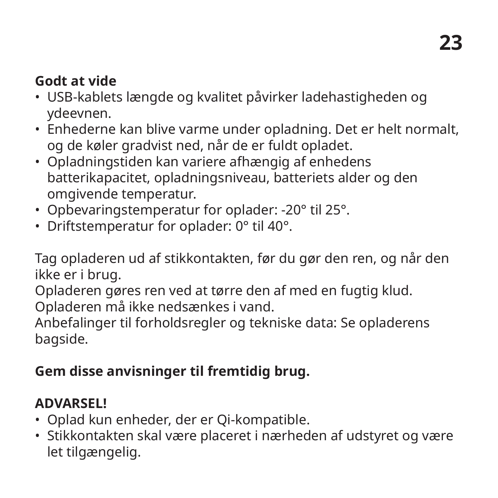#### **Godt at vide**

- USB-kablets længde og kvalitet påvirker ladehastigheden og ydeevnen.
- Enhederne kan blive varme under opladning. Det er helt normalt, og de køler gradvist ned, når de er fuldt opladet.
- Opladningstiden kan variere afhængig af enhedens batterikapacitet, opladningsniveau, batteriets alder og den omgivende temperatur.
- Opbevaringstemperatur for oplader: -20° til 25°.
- Driftstemperatur for oplader: 0° til 40°.

Tag opladeren ud af stikkontakten, før du gør den ren, og når den ikke er i brug.

Opladeren gøres ren ved at tørre den af med en fugtig klud. Opladeren må ikke nedsænkes i vand.

Anbefalinger til forholdsregler og tekniske data: Se opladerens bagside.

#### **Gem disse anvisninger til fremtidig brug.**

#### **ADVARSEL!**

- Oplad kun enheder, der er Qi-kompatible.
- Stikkontakten skal være placeret i nærheden af udstyret og være let tilgængelig.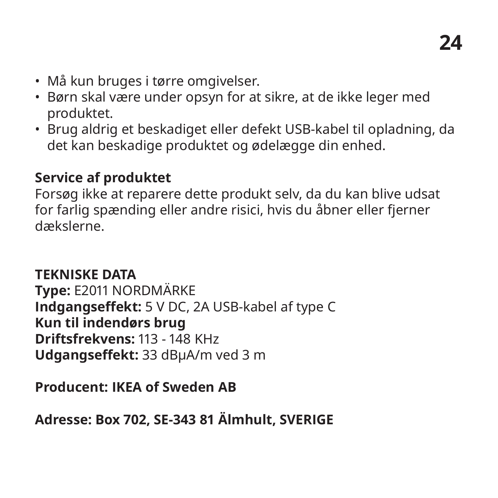- Må kun bruges i tørre omgivelser.
- Børn skal være under opsyn for at sikre, at de ikke leger med produktet.
- Brug aldrig et beskadiget eller defekt USB-kabel til opladning, da det kan beskadige produktet og ødelægge din enhed.

#### **Service af produktet**

Forsøg ikke at reparere dette produkt selv, da du kan blive udsat for farlig spænding eller andre risici, hvis du åbner eller fjerner dækslerne.

**TEKNISKE DATA Type:** E2011 NORDMÄRKE **Indgangseffekt:** 5 V DC, 2A USB-kabel af type C **Kun til indendørs brug Driftsfrekvens:** 113 - 148 KHz **Udgangseffekt:** 33 dBµA/m ved 3 m

**Producent: IKEA of Sweden AB**

**Adresse: Box 702, SE-343 81 Älmhult, SVERIGE**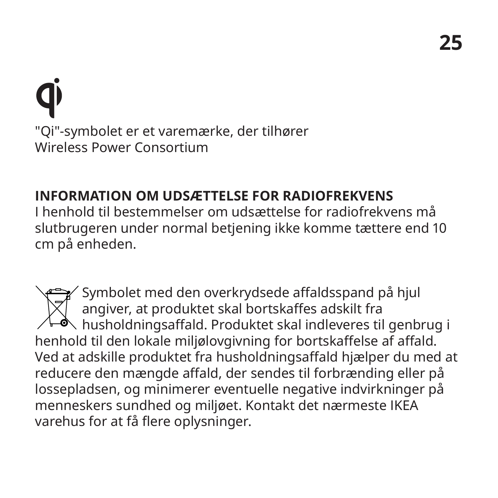"Qi"-symbolet er et varemærke, der tilhører Wireless Power Consortium

#### **INFORMATION OM UDSÆTTELSE FOR RADIOFREKVENS**

I henhold til bestemmelser om udsættelse for radiofrekvens må slutbrugeren under normal betjening ikke komme tættere end 10 cm på enheden.

Symbolet med den overkrydsede affaldsspand på hjul angiver, at produktet skal bortskaffes adskilt fra  $\backslash$  husholdningsaffald. Produktet skal indleveres til genbrug i henhold til den lokale miljølovgivning for bortskaffelse af affald. Ved at adskille produktet fra husholdningsaffald hjælper du med at reducere den mængde affald, der sendes til forbrænding eller på lossepladsen, og minimerer eventuelle negative indvirkninger på menneskers sundhed og miljøet. Kontakt det nærmeste IKEA varehus for at få flere oplysninger.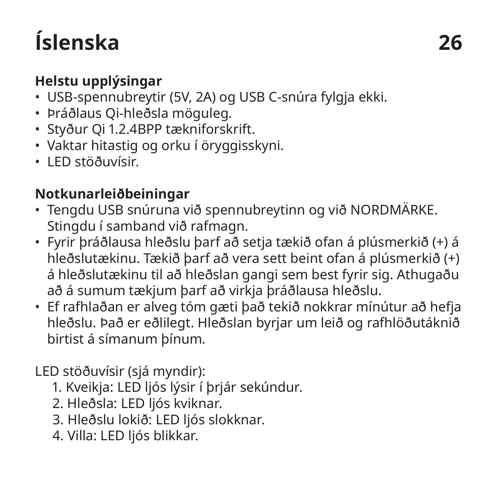## **Íslenska 26**

#### **Helstu upplýsingar**

- USB-spennubreytir (5V, 2A) og USB C-snúra fylgja ekki.
- Þráðlaus Qi-hleðsla möguleg.
- Styður Qi 1.2.4BPP tækniforskrift.
- Vaktar hitastig og orku í öryggisskyni.
- LED stöðuvísir.

#### **Notkunarleiðbeiningar**

- Tengdu USB snúruna við spennubreytinn og við NORDMÄRKE. Stingdu í samband við rafmagn.
- Fyrir þráðlausa hleðslu þarf að setja tækið ofan á plúsmerkið (+) á hleðslutækinu. Tækið þarf að vera sett beint ofan á plúsmerkið (+) á hleðslutækinu til að hleðslan gangi sem best fyrir sig. Athugaðu að á sumum tækjum þarf að virkja þráðlausa hleðslu.
- Ef rafhlaðan er alveg tóm gæti það tekið nokkrar mínútur að hefja hleðslu. Það er eðlilegt. Hleðslan byrjar um leið og rafhlöðutáknið birtist á símanum þínum.

LED stöðuvísir (sjá myndir):

- 1. Kveikja: LED ljós lýsir í þrjár sekúndur.
- 2. Hleðsla: LED ljós kviknar.
- 3. Hleðslu lokið: LED ljós slokknar.
- 4. Villa: LED ljós blikkar.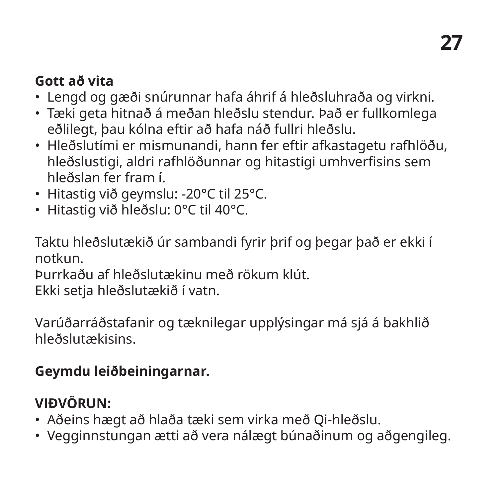#### **Gott að vita**

- Lengd og gæði snúrunnar hafa áhrif á hleðsluhraða og virkni.
- Tæki geta hitnað á meðan hleðslu stendur. Það er fullkomlega eðlilegt, þau kólna eftir að hafa náð fullri hleðslu.
- Hleðslutími er mismunandi, hann fer eftir afkastagetu rafhlöðu, hleðslustigi, aldri rafhlöðunnar og hitastigi umhverfisins sem hleðslan fer fram í.
- Hitastig við geymslu: -20°C til 25°C.
- Hitastig við hleðslu: 0°C til 40°C.

Taktu hleðslutækið úr sambandi fyrir þrif og þegar það er ekki í notkun.

Þurrkaðu af hleðslutækinu með rökum klút.

Ekki setja hleðslutækið í vatn.

Varúðarráðstafanir og tæknilegar upplýsingar má sjá á bakhlið hleðslutækisins.

#### **Geymdu leiðbeiningarnar.**

#### **VIÐVÖRUN:**

- Aðeins hægt að hlaða tæki sem virka með Qi-hleðslu.
- Vegginnstungan ætti að vera nálægt búnaðinum og aðgengileg.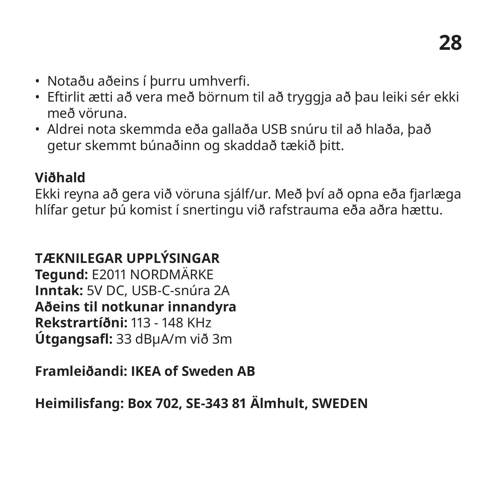- Notaðu aðeins í þurru umhverfi.
- Eftirlit ætti að vera með börnum til að tryggja að þau leiki sér ekki með vöruna.
- Aldrei nota skemmda eða gallaða USB snúru til að hlaða, það getur skemmt búnaðinn og skaddað tækið þitt.

#### **Viðhald**

Ekki reyna að gera við vöruna sjálf/ur. Með því að opna eða fjarlæga hlífar getur þú komist í snertingu við rafstrauma eða aðra hættu.

#### **TÆKNILEGAR UPPLÝSINGAR**

**Tegund:** E2011 NORDMÄRKE **Inntak:** 5V DC, USB-C-snúra 2A **Aðeins til notkunar innandyra Rekstrartíðni:** 113 - 148 KHz **Útgangsafl:** 33 dBµA/m við 3m

#### **Framleiðandi: IKEA of Sweden AB**

**Heimilisfang: Box 702, SE-343 81 Älmhult, SWEDEN**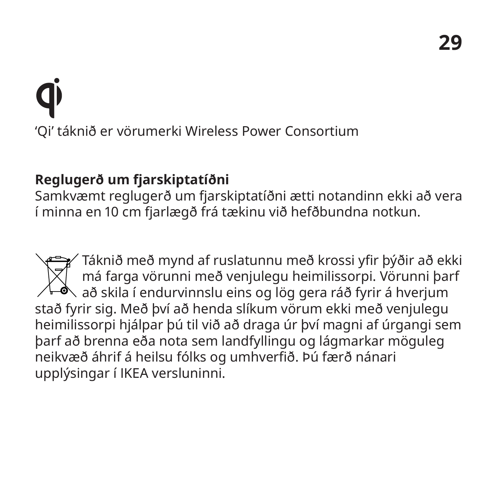## 'Qi' táknið er vörumerki Wireless Power Consortium

#### **Reglugerð um fjarskiptatíðni**

Samkvæmt reglugerð um fjarskiptatíðni ætti notandinn ekki að vera í minna en 10 cm fjarlægð frá tækinu við hefðbundna notkun.

Táknið með mynd af ruslatunnu með krossi yfir þýðir að ekki má farga vörunni með venjulegu heimilissorpi. Vörunni þarf  $\backslash$  að skila í endurvinnslu eins og lög gera ráð fyrir á hverjum stað fyrir sig. Með því að henda slíkum vörum ekki með venjulegu heimilissorpi hjálpar þú til við að draga úr því magni af úrgangi sem þarf að brenna eða nota sem landfyllingu og lágmarkar möguleg neikvæð áhrif á heilsu fólks og umhverfið. Þú færð nánari upplýsingar í IKEA versluninni.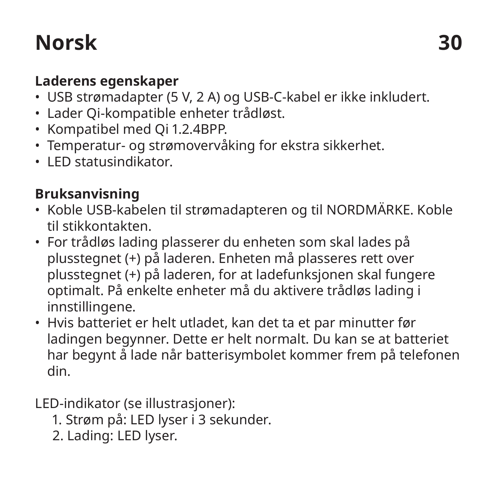### **Norsk 30**

#### **Laderens egenskaper**

- USB strømadapter (5 V, 2 A) og USB-C-kabel er ikke inkludert.
- Lader Qi-kompatible enheter trådløst.
- Kompatibel med Qi 1.2.4BPP.
- Temperatur- og strømovervåking for ekstra sikkerhet.
- LED statusindikator.

#### **Bruksanvisning**

- Koble USB-kabelen til strømadapteren og til NORDMÄRKE. Koble til stikkontakten.
- For trådløs lading plasserer du enheten som skal lades på plusstegnet (+) på laderen. Enheten må plasseres rett over plusstegnet (+) på laderen, for at ladefunksjonen skal fungere optimalt. På enkelte enheter må du aktivere trådløs lading i innstillingene.
- Hvis batteriet er helt utladet, kan det ta et par minutter før ladingen begynner. Dette er helt normalt. Du kan se at batteriet har begynt å lade når batterisymbolet kommer frem på telefonen din.

LED-indikator (se illustrasjoner):

- 1. Strøm på: LED lyser i 3 sekunder.
- 2. Lading: LED lyser.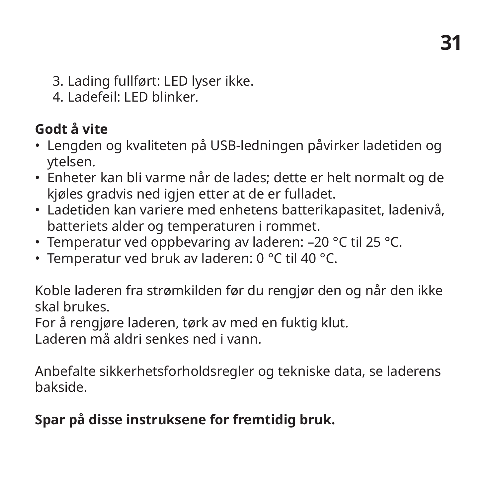3. Lading fullført: LED lyser ikke.

4. Ladefeil: LED blinker.

#### **Godt å vite**

- Lengden og kvaliteten på USB-ledningen påvirker ladetiden og ytelsen.
- Enheter kan bli varme når de lades; dette er helt normalt og de kjøles gradvis ned igjen etter at de er fulladet.
- Ladetiden kan variere med enhetens batterikapasitet, ladenivå, batteriets alder og temperaturen i rommet.
- Temperatur ved oppbevaring av laderen: –20 °C til 25 °C.
- Temperatur ved bruk av laderen: 0 °C til 40 °C.

Koble laderen fra strømkilden før du rengjør den og når den ikke skal brukes.

For å rengjøre laderen, tørk av med en fuktig klut.

Laderen må aldri senkes ned i vann.

Anbefalte sikkerhetsforholdsregler og tekniske data, se laderens bakside.

#### **Spar på disse instruksene for fremtidig bruk.**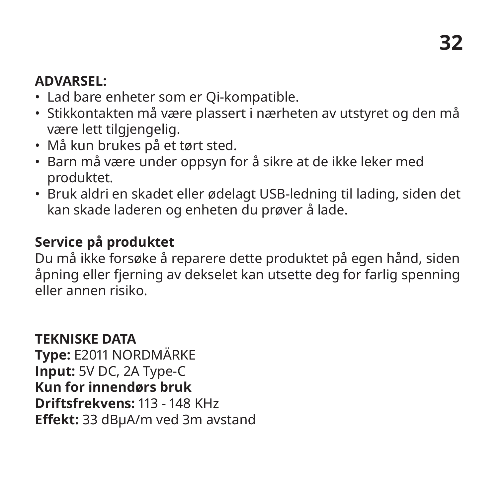#### **ADVARSEL:**

- Lad bare enheter som er Qi-kompatible.
- Stikkontakten må være plassert i nærheten av utstyret og den må være lett tilgjengelig.
- Må kun brukes på et tørt sted.
- Barn må være under oppsyn for å sikre at de ikke leker med produktet.
- Bruk aldri en skadet eller ødelagt USB-ledning til lading, siden det kan skade laderen og enheten du prøver å lade.

#### **Service på produktet**

Du må ikke forsøke å reparere dette produktet på egen hånd, siden åpning eller fjerning av dekselet kan utsette deg for farlig spenning eller annen risiko.

#### **TEKNISKE DATA**

**Type:** E2011 NORDMÄRKE **Input:** 5V DC, 2A Type-C **Kun for innendørs bruk Driftsfrekvens:** 113 - 148 KHz **Effekt:** 33 dBµA/m ved 3m avstand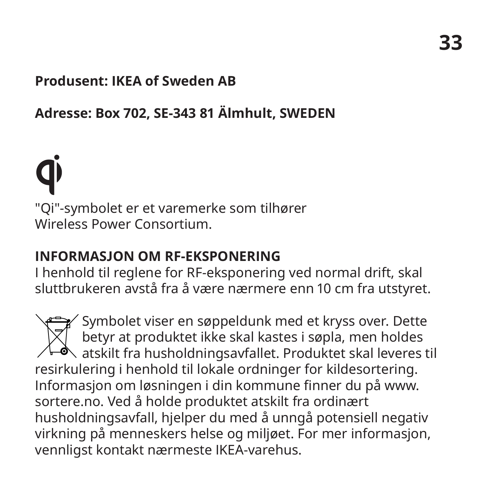#### **Produsent: IKEA of Sweden AB**

#### **Adresse: Box 702, SE-343 81 Älmhult, SWEDEN**

"Qi"-symbolet er et varemerke som tilhører Wireless Power Consortium.

#### **INFORMASJON OM RF-EKSPONERING**

I henhold til reglene for RF-eksponering ved normal drift, skal sluttbrukeren avstå fra å være nærmere enn 10 cm fra utstyret.

 $\sqrt{2}$  Symbolet viser en søppeldunk med et kryss over. Dette betyr at produktet ikke skal kastes i søpla, men holdes  $\delta$  atskilt fra husholdningsavfallet. Produktet skal leveres til resirkulering i henhold til lokale ordninger for kildesortering. Informasjon om løsningen i din kommune finner du på www. sortere.no. Ved å holde produktet atskilt fra ordinært husholdningsavfall, hjelper du med å unngå potensiell negativ virkning på menneskers helse og miljøet. For mer informasjon, vennligst kontakt nærmeste IKEA-varehus.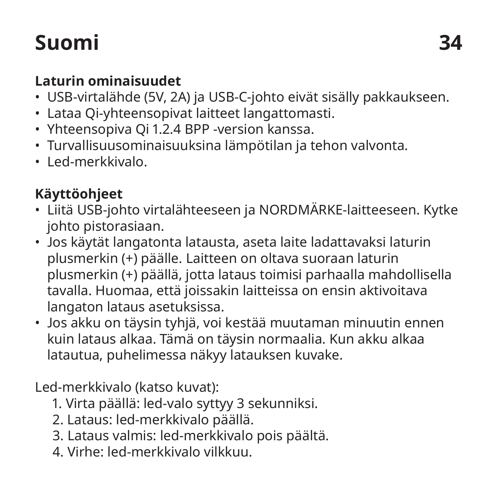## **Suomi 34**

#### **Laturin ominaisuudet**

- USB-virtalähde (5V, 2A) ja USB-C-johto eivät sisälly pakkaukseen.
- Lataa Qi-yhteensopivat laitteet langattomasti.
- Yhteensopiva Qi 1.2.4 BPP -version kanssa.
- Turvallisuusominaisuuksina lämpötilan ja tehon valvonta.
- Led-merkkivalo.

#### **Käyttöohjeet**

- Liitä USB-johto virtalähteeseen ja NORDMÄRKE-laitteeseen. Kytke johto pistorasiaan.
- Jos käytät langatonta latausta, aseta laite ladattavaksi laturin plusmerkin (+) päälle. Laitteen on oltava suoraan laturin plusmerkin (+) päällä, jotta lataus toimisi parhaalla mahdollisella tavalla. Huomaa, että joissakin laitteissa on ensin aktivoitava langaton lataus asetuksissa.
- Jos akku on täysin tyhjä, voi kestää muutaman minuutin ennen kuin lataus alkaa. Tämä on täysin normaalia. Kun akku alkaa latautua, puhelimessa näkyy latauksen kuvake.

#### Led-merkkivalo (katso kuvat):

- 1. Virta päällä: led-valo syttyy 3 sekunniksi.
- 2. Lataus: led-merkkivalo päällä.
- 3. Lataus valmis: led-merkkivalo pois päältä.
- 4. Virhe: led-merkkivalo vilkkuu.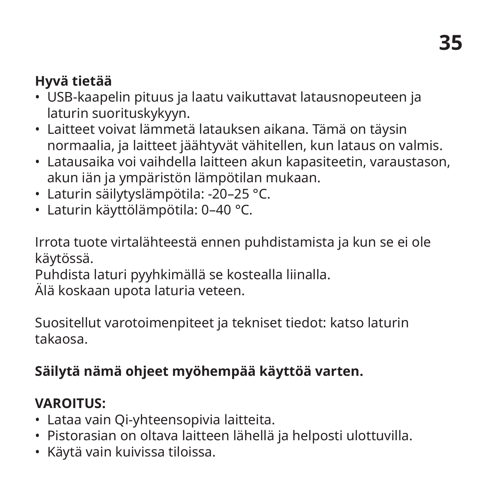#### **Hyvä tietää**

- USB-kaapelin pituus ja laatu vaikuttavat latausnopeuteen ja laturin suorituskykyyn.
- Laitteet voivat lämmetä latauksen aikana. Tämä on täysin normaalia, ja laitteet jäähtyvät vähitellen, kun lataus on valmis.
- Latausaika voi vaihdella laitteen akun kapasiteetin, varaustason, akun iän ja ympäristön lämpötilan mukaan.
- Laturin säilytyslämpötila: -20–25 °C.
- Laturin käyttölämpötila: 0–40 °C.

Irrota tuote virtalähteestä ennen puhdistamista ja kun se ei ole käytössä.

Puhdista laturi pyyhkimällä se kostealla liinalla.

Älä koskaan upota laturia veteen.

Suositellut varotoimenpiteet ja tekniset tiedot: katso laturin takaosa.

#### **Säilytä nämä ohjeet myöhempää käyttöä varten.**

#### **VAROITUS:**

- Lataa vain Qi-yhteensopivia laitteita.
- Pistorasian on oltava laitteen lähellä ja helposti ulottuvilla.
- Käytä vain kuivissa tiloissa.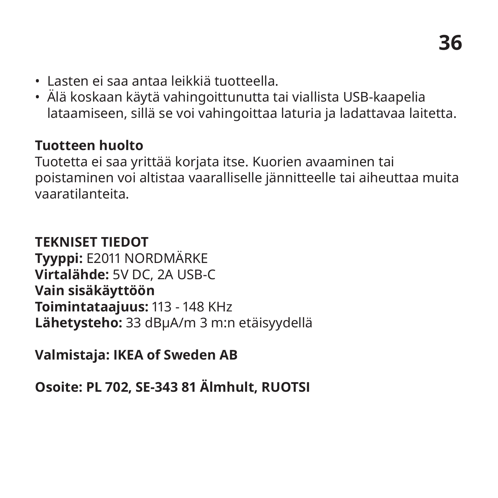- Lasten ei saa antaa leikkiä tuotteella.
- Älä koskaan käytä vahingoittunutta tai viallista USB-kaapelia lataamiseen, sillä se voi vahingoittaa laturia ja ladattavaa laitetta.

#### **Tuotteen huolto**

Tuotetta ei saa yrittää korjata itse. Kuorien avaaminen tai poistaminen voi altistaa vaaralliselle jännitteelle tai aiheuttaa muita vaaratilanteita.

#### **TEKNISET TIEDOT**

**Tyyppi:** E2011 NORDMÄRKE **Virtalähde:** 5V DC, 2A USB-C **Vain sisäkäyttöön Toimintataajuus:** 113 - 148 KHz **Lähetysteho:** 33 dBμA/m 3 m:n etäisyydellä

**Valmistaja: IKEA of Sweden AB**

**Osoite: PL 702, SE-343 81 Älmhult, RUOTSI**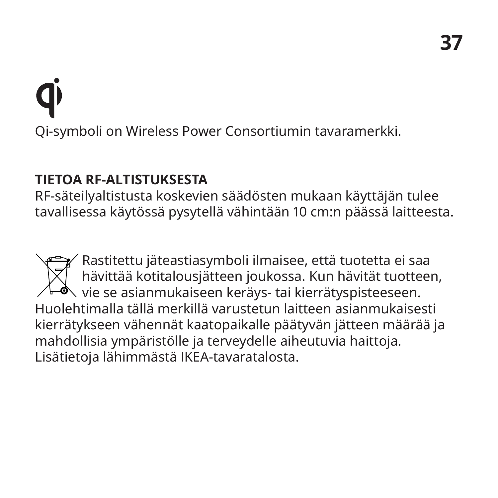## Qi-symboli on Wireless Power Consortiumin tavaramerkki.

#### **TIETOA RF-ALTISTUKSESTA**

RF-säteilyaltistusta koskevien säädösten mukaan käyttäjän tulee tavallisessa käytössä pysytellä vähintään 10 cm:n päässä laitteesta.

Rastitettu jäteastiasymboli ilmaisee, että tuotetta ei saa hävittää kotitalousjätteen joukossa. Kun hävität tuotteen,  $\backslash$  vie se asianmukaiseen keräys- tai kierrätyspisteeseen. Huolehtimalla tällä merkillä varustetun laitteen asianmukaisesti kierrätykseen vähennät kaatopaikalle päätyvän jätteen määrää ja mahdollisia ympäristölle ja terveydelle aiheutuvia haittoja. Lisätietoja lähimmästä IKEA-tavaratalosta.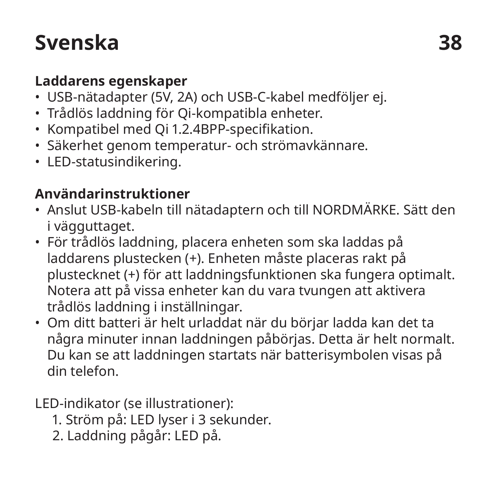### **Svenska 38**

#### **Laddarens egenskaper**

- USB-nätadapter (5V, 2A) och USB-C-kabel medföljer ej.
- Trådlös laddning för Qi-kompatibla enheter.
- Kompatibel med Qi 1.2.4BPP-specifikation.
- Säkerhet genom temperatur- och strömavkännare.
- LED-statusindikering.

#### **Användarinstruktioner**

- Anslut USB-kabeln till nätadaptern och till NORDMÄRKE. Sätt den i vägguttaget.
- För trådlös laddning, placera enheten som ska laddas på laddarens plustecken (+). Enheten måste placeras rakt på plustecknet (+) för att laddningsfunktionen ska fungera optimalt. Notera att på vissa enheter kan du vara tvungen att aktivera trådlös laddning i inställningar.
- Om ditt batteri är helt urladdat när du börjar ladda kan det ta några minuter innan laddningen påbörjas. Detta är helt normalt. Du kan se att laddningen startats när batterisymbolen visas på din telefon.

LED-indikator (se illustrationer):

- 1. Ström på: LED lyser i 3 sekunder.
- 2. Laddning pågår: LED på.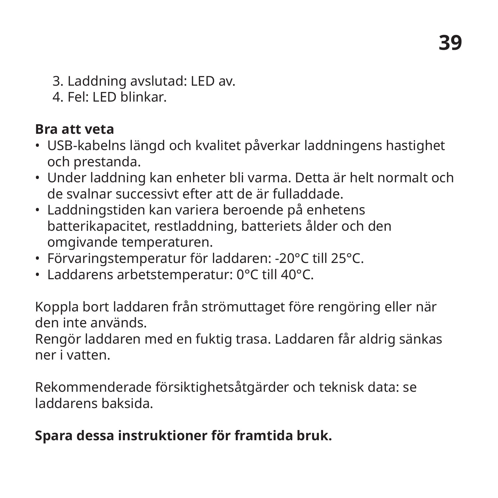3. Laddning avslutad: LED av.

4. Fel: LED blinkar.

#### **Bra att veta**

- USB-kabelns längd och kvalitet påverkar laddningens hastighet och prestanda.
- Under laddning kan enheter bli varma. Detta är helt normalt och de svalnar successivt efter att de är fulladdade.
- Laddningstiden kan variera beroende på enhetens batterikapacitet, restladdning, batteriets ålder och den omgivande temperaturen.
- Förvaringstemperatur för laddaren: -20°C till 25°C.
- Laddarens arbetstemperatur: 0°C till 40°C.

Koppla bort laddaren från strömuttaget före rengöring eller när den inte används.

Rengör laddaren med en fuktig trasa. Laddaren får aldrig sänkas ner i vatten.

Rekommenderade försiktighetsåtgärder och teknisk data: se laddarens baksida.

#### **Spara dessa instruktioner för framtida bruk.**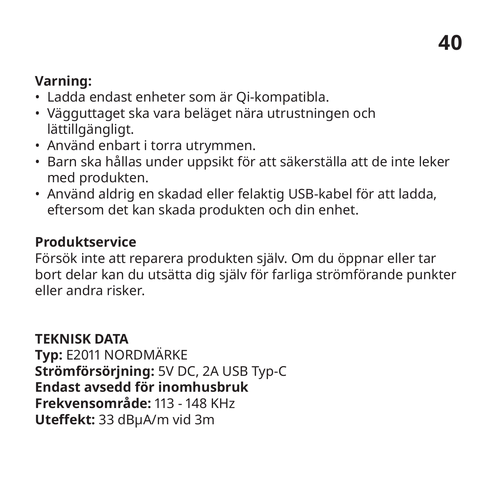#### **Varning:**

- Ladda endast enheter som är Qi-kompatibla.
- Vägguttaget ska vara beläget nära utrustningen och lättillgängligt.
- Använd enbart i torra utrymmen.
- Barn ska hållas under uppsikt för att säkerställa att de inte leker med produkten.
- Använd aldrig en skadad eller felaktig USB-kabel för att ladda, eftersom det kan skada produkten och din enhet.

#### **Produktservice**

Försök inte att reparera produkten själv. Om du öppnar eller tar bort delar kan du utsätta dig själv för farliga strömförande punkter eller andra risker.

**TEKNISK DATA Typ:** E2011 NORDMÄRKE **Strömförsörjning:** 5V DC, 2A USB Typ-C **Endast avsedd för inomhusbruk Frekvensområde:** 113 - 148 KHz **Uteffekt:** 33 dBµA/m vid 3m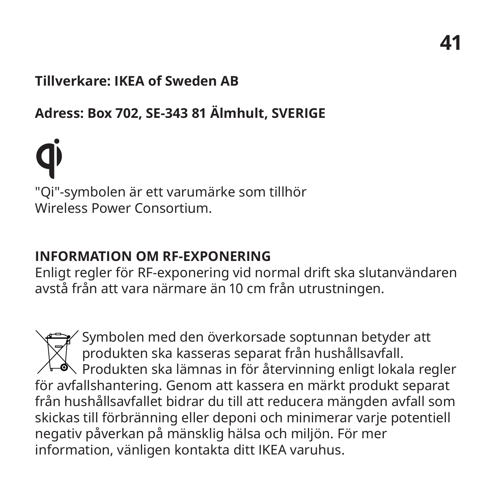#### **Tillverkare: IKEA of Sweden AB**

#### **Adress: Box 702, SE-343 81 Älmhult, SVERIGE**

"Qi"-symbolen är ett varumärke som tillhör Wireless Power Consortium.

#### **INFORMATION OM RF-EXPONERING**

Enligt regler för RF-exponering vid normal drift ska slutanvändaren avstå från att vara närmare än 10 cm från utrustningen.

Symbolen med den överkorsade soptunnan betyder att produkten ska kasseras separat från hushållsavfall.  $\triangle$  Produkten ska lämnas in för återvinning enligt lokala regler för avfallshantering. Genom att kassera en märkt produkt separat från hushållsavfallet bidrar du till att reducera mängden avfall som skickas till förbränning eller deponi och minimerar varje potentiell negativ påverkan på mänsklig hälsa och miljön. För mer information, vänligen kontakta ditt IKEA varuhus.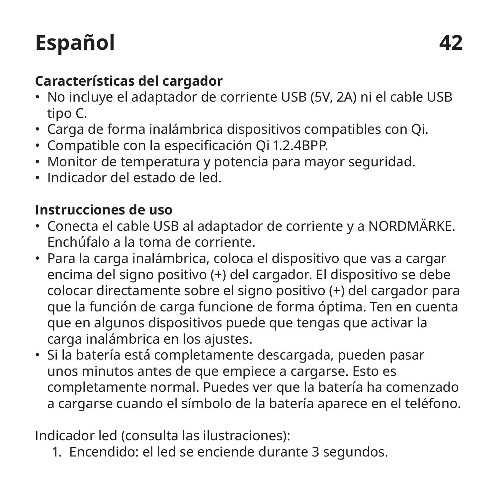## **Español 42**

#### **Características del cargador**

- No incluye el adaptador de corriente USB (5V, 2A) ni el cable USB tipo C.
- Carga de forma inalámbrica dispositivos compatibles con Qi.
- Compatible con la especificación Qi 1.2.4BPP.
- Monitor de temperatura y potencia para mayor seguridad.
- Indicador del estado de led.

#### **Instrucciones de uso**

- Conecta el cable USB al adaptador de corriente y a NORDMÄRKE. Enchúfalo a la toma de corriente.
- Para la carga inalámbrica, coloca el dispositivo que vas a cargar encima del signo positivo (+) del cargador. El dispositivo se debe colocar directamente sobre el signo positivo (+) del cargador para que la función de carga funcione de forma óptima. Ten en cuenta que en algunos dispositivos puede que tengas que activar la carga inalámbrica en los ajustes.
- Si la batería está completamente descargada, pueden pasar unos minutos antes de que empiece a cargarse. Esto es completamente normal. Puedes ver que la batería ha comenzado a cargarse cuando el símbolo de la batería aparece en el teléfono.

#### Indicador led (consulta las ilustraciones):

1. Encendido: el led se enciende durante 3 segundos.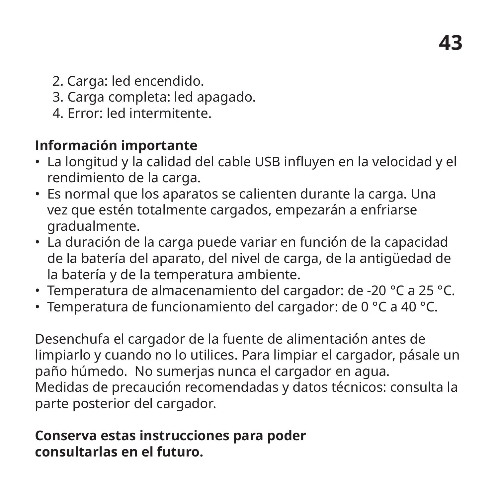- 2. Carga: led encendido.
- 3. Carga completa: led apagado.
- 4. Error: led intermitente.

#### **Información importante**

- La longitud y la calidad del cable USB influyen en la velocidad y el rendimiento de la carga.
- Es normal que los aparatos se calienten durante la carga. Una vez que estén totalmente cargados, empezarán a enfriarse gradualmente.
- La duración de la carga puede variar en función de la capacidad de la batería del aparato, del nivel de carga, de la antigüedad de la batería y de la temperatura ambiente.
- Temperatura de almacenamiento del cargador: de -20 °C a 25 °C.
- Temperatura de funcionamiento del cargador: de 0 °C a 40 °C.

Desenchufa el cargador de la fuente de alimentación antes de limpiarlo y cuando no lo utilices. Para limpiar el cargador, pásale un paño húmedo. No sumerjas nunca el cargador en agua. Medidas de precaución recomendadas y datos técnicos: consulta la parte posterior del cargador.

#### **Conserva estas instrucciones para poder consultarlas en el futuro.**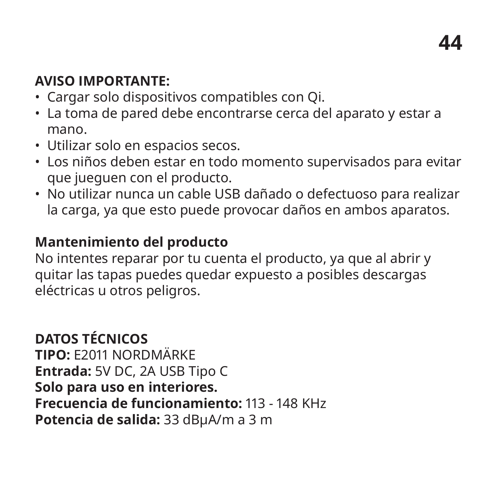#### **AVISO IMPORTANTE:**

- Cargar solo dispositivos compatibles con Qi.
- La toma de pared debe encontrarse cerca del aparato y estar a mano.
- Utilizar solo en espacios secos.
- Los niños deben estar en todo momento supervisados para evitar que jueguen con el producto.
- No utilizar nunca un cable USB dañado o defectuoso para realizar la carga, ya que esto puede provocar daños en ambos aparatos.

#### **Mantenimiento del producto**

No intentes reparar por tu cuenta el producto, ya que al abrir y quitar las tapas puedes quedar expuesto a posibles descargas eléctricas u otros peligros.

**DATOS TÉCNICOS TIPO:** E2011 NORDMÄRKE **Entrada:** 5V DC, 2A USB Tipo C **Solo para uso en interiores. Frecuencia de funcionamiento:** 113 - 148 KHz **Potencia de salida:** 33 dBµA/m a 3 m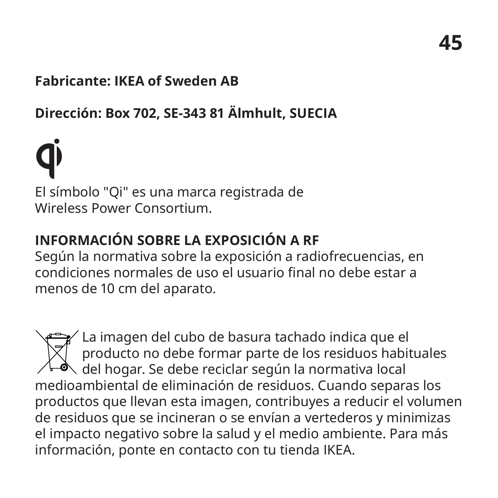#### **Fabricante: IKEA of Sweden AB**

**Dirección: Box 702, SE-343 81 Älmhult, SUECIA**

El símbolo "Qi" es una marca registrada de Wireless Power Consortium.

#### **INFORMACIÓN SOBRE LA EXPOSICIÓN A RF**

Según la normativa sobre la exposición a radiofrecuencias, en condiciones normales de uso el usuario final no debe estar a menos de 10 cm del aparato.

La imagen del cubo de basura tachado indica que el producto no debe formar parte de los residuos habituales  $\bullet$  del hogar. Se debe reciclar según la normativa local medioambiental de eliminación de residuos. Cuando separas los productos que llevan esta imagen, contribuyes a reducir el volumen de residuos que se incineran o se envían a vertederos y minimizas el impacto negativo sobre la salud y el medio ambiente. Para más información, ponte en contacto con tu tienda IKEA.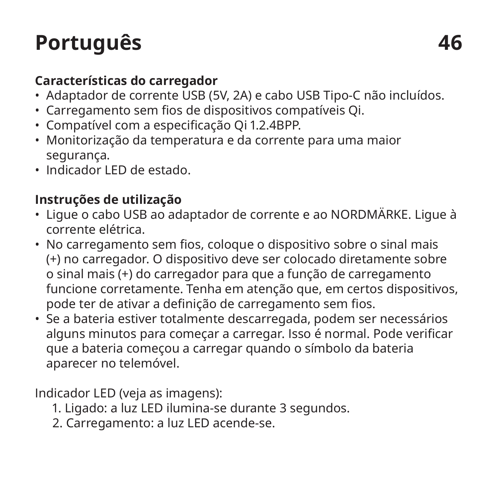## **Português 46**

#### **Características do carregador**

- Adaptador de corrente USB (5V, 2A) e cabo USB Tipo-C não incluídos.
- Carregamento sem fios de dispositivos compatíveis Qi.
- Compatível com a especificação Qi 1.2.4BPP.
- Monitorização da temperatura e da corrente para uma maior segurança.
- Indicador LED de estado.

#### **Instruções de utilização**

- Ligue o cabo USB ao adaptador de corrente e ao NORDMÄRKE. Ligue à corrente elétrica.
- No carregamento sem fios, coloque o dispositivo sobre o sinal mais (+) no carregador. O dispositivo deve ser colocado diretamente sobre o sinal mais (+) do carregador para que a função de carregamento funcione corretamente. Tenha em atenção que, em certos dispositivos, pode ter de ativar a definição de carregamento sem fios.
- Se a bateria estiver totalmente descarregada, podem ser necessários alguns minutos para começar a carregar. Isso é normal. Pode verificar que a bateria começou a carregar quando o símbolo da bateria aparecer no telemóvel.

Indicador LED (veja as imagens):

- 1. Ligado: a luz LED ilumina-se durante 3 segundos.
- 2. Carregamento: a luz LED acende-se.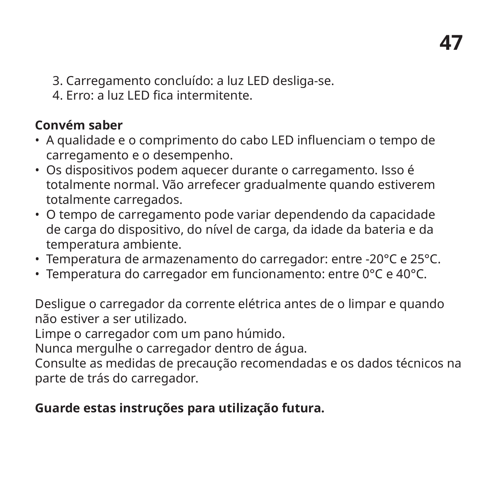- 3. Carregamento concluído: a luz LED desliga-se.
- 4. Erro: a luz LED fica intermitente.

#### **Convém saber**

- A qualidade e o comprimento do cabo LED influenciam o tempo de carregamento e o desempenho.
- Os dispositivos podem aquecer durante o carregamento. Isso é totalmente normal. Vão arrefecer gradualmente quando estiverem totalmente carregados.
- O tempo de carregamento pode variar dependendo da capacidade de carga do dispositivo, do nível de carga, da idade da bateria e da temperatura ambiente.
- Temperatura de armazenamento do carregador: entre -20°C e 25°C.
- Temperatura do carregador em funcionamento: entre 0°C e 40°C.

Desligue o carregador da corrente elétrica antes de o limpar e quando não estiver a ser utilizado.

Limpe o carregador com um pano húmido.

Nunca mergulhe o carregador dentro de água.

Consulte as medidas de precaução recomendadas e os dados técnicos na parte de trás do carregador.

#### **Guarde estas instruções para utilização futura.**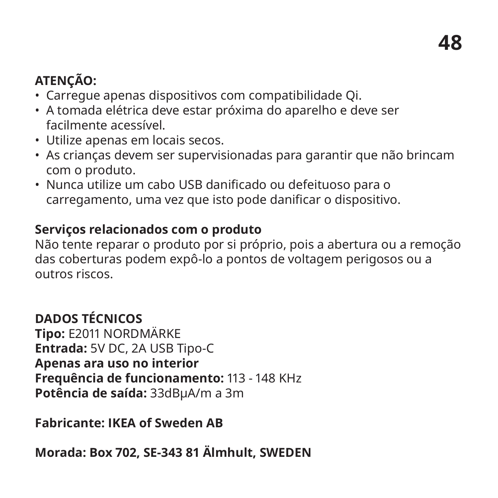#### **ATENÇÃO:**

- Carregue apenas dispositivos com compatibilidade Qi.
- A tomada elétrica deve estar próxima do aparelho e deve ser facilmente acessível.
- Utilize apenas em locais secos.
- As crianças devem ser supervisionadas para garantir que não brincam com o produto.
- Nunca utilize um cabo USB danificado ou defeituoso para o carregamento, uma vez que isto pode danificar o dispositivo.

#### **Serviços relacionados com o produto**

Não tente reparar o produto por si próprio, pois a abertura ou a remoção das coberturas podem expô-lo a pontos de voltagem perigosos ou a outros riscos.

#### **DADOS TÉCNICOS**

**Tipo:** E2011 NORDMÄRKE **Entrada:** 5V DC, 2A USB Tipo-C **Apenas ara uso no interior Frequência de funcionamento:** 113 - 148 KHz **Potência de saída:** 33dBµA/m a 3m

#### **Fabricante: IKEA of Sweden AB**

**Morada: Box 702, SE-343 81 Älmhult, SWEDEN**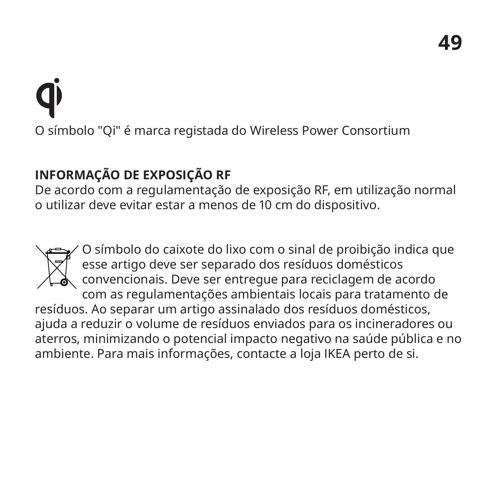## O símbolo "Qi" é marca registada do Wireless Power Consortium

#### **INFORMAÇÃO DE EXPOSIÇÃO RF**

De acordo com a regulamentação de exposição RF, em utilização normal o utilizar deve evitar estar a menos de 10 cm do dispositivo.

O símbolo do caixote do lixo com o sinal de proibição indica que esse artigo deve ser separado dos resíduos domésticos convencionais. Deve ser entregue para reciclagem de acordo com as regulamentações ambientais locais para tratamento de resíduos. Ao separar um artigo assinalado dos resíduos domésticos, ajuda a reduzir o volume de resíduos enviados para os incineradores ou aterros, minimizando o potencial impacto negativo na saúde pública e no ambiente. Para mais informações, contacte a loja IKEA perto de si.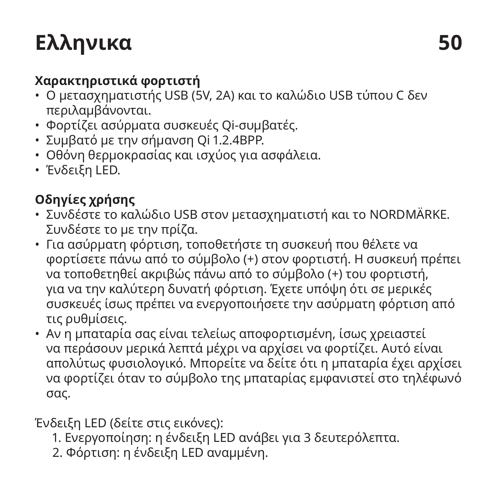## **Ελληνικα 50**

#### **Χαρακτηριστικά φορτιστή**

- Ο μετασχηματιστής USB (5V, 2A) και το καλώδιο USB τύπου C δεν περιλαμβάνονται.
- Φορτίζει ασύρματα συσκευές Qi-συμβατές.
- Συμβατό με την σήμανση Qi 1.2.4BPP.
- Οθόνη θερμοκρασίας και ισχύος για ασφάλεια.
- Ένδειξη LED.

#### **Οδηγίες χρήσης**

- Συνδέστε το καλώδιο USB στον μετασχηματιστή και το NORDMÄRKE. Συνδέστε το με την πρίζα.
- Για ασύρματη φόρτιση, τοποθετήστε τη συσκευή που θέλετε να φορτίσετε πάνω από το σύμβολο (+) στον φορτιστή. Η συσκευή πρέπει να τοποθετηθεί ακριβώς πάνω από το σύμβολο (+) του φορτιστή, για να την καλύτερη δυνατή φόρτιση. Έχετε υπόψη ότι σε μερικές συσκευές ίσως πρέπει να ενεργοποιήσετε την ασύρματη φόρτιση από τις ρυθμίσεις.
- Αν η μπαταρία σας είναι τελείως αποφορτισμένη, ίσως χρειαστεί να περάσουν μερικά λεπτά μέχρι να αρχίσει να φορτίζει. Αυτό είναι απολύτως φυσιολογικό. Μπορείτε να δείτε ότι η μπαταρία έχει αρχίσει να φορτίζει όταν το σύμβολο της μπαταρίας εμφανιστεί στο τηλέφωνό σας.

Ένδειξη LED (δείτε στις εικόνες):

- 1. Ενεργοποίηση: η ένδειξη LED ανάβει για 3 δευτερόλεπτα.
- 2. Φόρτιση: η ένδειξη LED αναμμένη.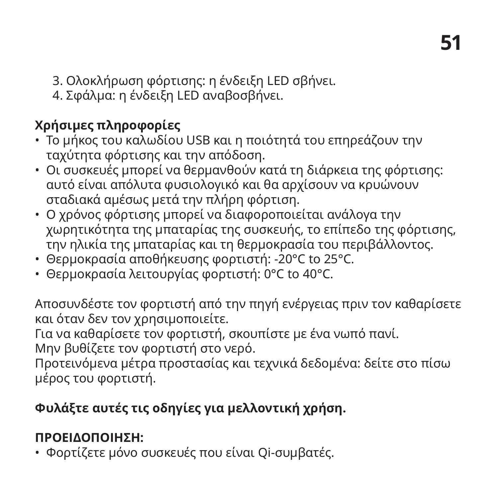- 3. Ολοκλήρωση φόρτισης: η ένδειξη LED σβήνει.
- 4. Σφάλμα: η ένδειξη LED αναβοσβήνει.

#### **Χρήσιμες πληροφορίες**

- Το μήκος του καλωδίου USB και η ποιότητά του επηρεάζουν την ταχύτητα φόρτισης και την απόδοση.
- Οι συσκευές μπορεί να θερμανθούν κατά τη διάρκεια της φόρτισης: αυτό είναι απόλυτα φυσιολογικό και θα αρχίσουν να κρυώνουν σταδιακά αμέσως μετά την πλήρη φόρτιση.
- Ο χρόνος φόρτισης μπορεί να διαφοροποιείται ανάλογα την χωρητικότητα της μπαταρίας της συσκευής, το επίπεδο της φόρτισης, την ηλικία της μπαταρίας και τη θερμοκρασία του περιβάλλοντος.
- Θερμοκρασία αποθήκευσης φορτιστή: -20°C to 25°C.
- Θερμοκρασία λειτουργίας φορτιστή: 0°C to 40°C.

Αποσυνδέστε τον φορτιστή από την πηγή ενέργειας πριν τον καθαρίσετε και όταν δεν τον χρησιμοποιείτε.

Για να καθαρίσετε τον φορτιστή, σκουπίστε με ένα νωπό πανί.

Μην βυθίζετε τον φορτιστή στο νερό.

Προτεινόμενα μέτρα προστασίας και τεχνικά δεδομένα: δείτε στο πίσω μέρος του φορτιστή.

#### **Φυλάξτε αυτές τις οδηγίες για μελλοντική χρήση.**

#### **ΠΡΟΕΙΔΟΠΟΙΗΣΗ:**

• Φορτίζετε μόνο συσκευές που είναι Qi-συμβατές.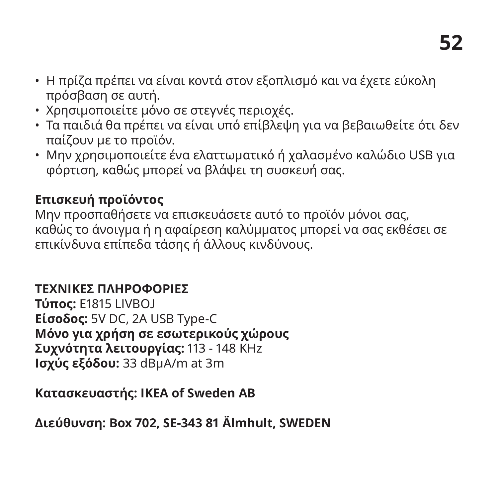- Η πρίζα πρέπει να είναι κοντά στον εξοπλισμό και να έχετε εύκολη πρόσβαση σε αυτή.
- Χρησιμοποιείτε μόνο σε στεγνές περιοχές.
- Τα παιδιά θα πρέπει να είναι υπό επίβλεψη για να βεβαιωθείτε ότι δεν παίζουν με το προϊόν.
- Μην χρησιμοποιείτε ένα ελαττωματικό ή χαλασμένο καλώδιο USB για φόρτιση, καθώς μπορεί να βλάψει τη συσκευή σας.

#### **Επισκευή προϊόντος**

Μην προσπαθήσετε να επισκευάσετε αυτό το προϊόν μόνοι σας, καθώς το άνοιγμα ή η αφαίρεση καλύμματος μπορεί να σας εκθέσει σε επικίνδυνα επίπεδα τάσης ή άλλους κινδύνους.

#### **ΤΕΧΝΙΚΕΣ ΠΛΗΡΟΦΟΡΙΕΣ**

**Τύπος:** E1815 LIVBOJ **Είσοδος:** 5V DC, 2A USB Type-C **Μόνο για χρήση σε εσωτερικούς χώρους Συχνότητα λειτουργίας:** 113 - 148 KHz **Ισχύς εξόδου:** 33 dBµA/m at 3m

**Κατασκευαστής: IKEA of Sweden AB**

**Διεύθυνση: Box 702, SE-343 81 Älmhult, SWEDEN**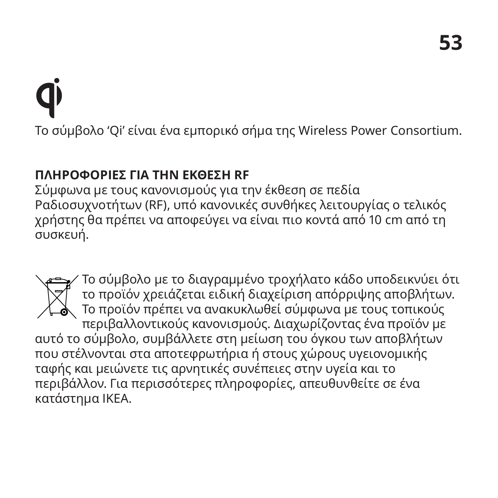Το σύμβολο 'Qi' είναι ένα εμπορικό σήμα της Wireless Power Consortium.

#### **ΠΛΗΡΟΦΟΡΙΕΣ ΓΙΑ ΤΗΝ ΕΚΘΕΣΗ RF**

Σύμφωνα με τους κανονισμούς για την έκθεση σε πεδία Ραδιοσυχνοτήτων (RF), υπό κανονικές συνθήκες λειτουργίας ο τελικός χρήστης θα πρέπει να αποφεύγει να είναι πιο κοντά από 10 cm από τη συσκευή.

Το σύμβολο με το διαγραμμένο τροχήλατο κάδο υποδεικνύει ότι το προϊόν χρειάζεται ειδική διαχείριση απόρριψης αποβλήτων. Το προϊόν πρέπει να ανακυκλωθεί σύμφωνα με τους τοπικούς περιβαλλοντικούς κανονισμούς. Διαχωρίζοντας ένα προϊόν με αυτό το σύμβολο, συμβάλλετε στη μείωση του όγκου των αποβλήτων που στέλνονται στα αποτεφρωτήρια ή στους χώρους υγειονομικής ταφής και μειώνετε τις αρνητικές συνέπειες στην υγεία και το περιβάλλον. Για περισσότερες πληροφορίες, απευθυνθείτε σε ένα κατάστημα ΙΚΕΑ.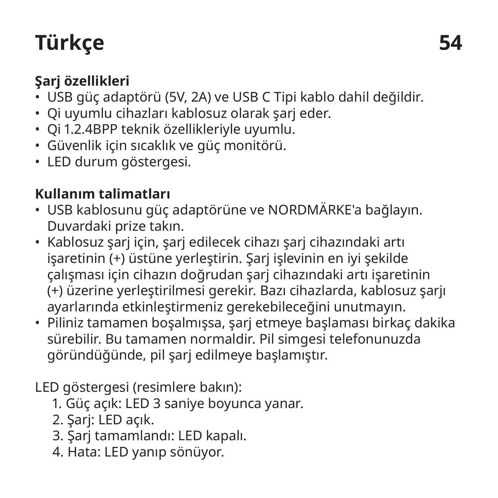## **Türkçe 54**

#### **Şarj özellikleri**

- USB güç adaptörü (5V, 2A) ve USB C Tipi kablo dahil değildir.
- Qi uyumlu cihazları kablosuz olarak şarj eder.
- Qi 1.2.4BPP teknik özellikleriyle uyumlu.
- Güvenlik için sıcaklık ve güç monitörü.
- LED durum göstergesi.

#### **Kullanım talimatları**

- USB kablosunu güç adaptörüne ve NORDMÄRKE'a bağlayın. Duvardaki prize takın.
- Kablosuz şarj için, şarj edilecek cihazı şarj cihazındaki artı işaretinin (+) üstüne yerleştirin. Şarj işlevinin en iyi şekilde çalışması için cihazın doğrudan şarj cihazındaki artı işaretinin (+) üzerine yerleştirilmesi gerekir. Bazı cihazlarda, kablosuz şarjı ayarlarında etkinleştirmeniz gerekebileceğini unutmayın.
- Piliniz tamamen boşalmışsa, şarj etmeye başlaması birkaç dakika sürebilir. Bu tamamen normaldir. Pil simgesi telefonunuzda göründüğünde, pil şarj edilmeye başlamıştır.

#### LED göstergesi (resimlere bakın):

- 1. Güç açık: LED 3 saniye boyunca yanar.
- 2. Şarj: LED açık.
- 3. Şarj tamamlandı: LED kapalı.
- 4. Hata: LED yanıp sönüyor.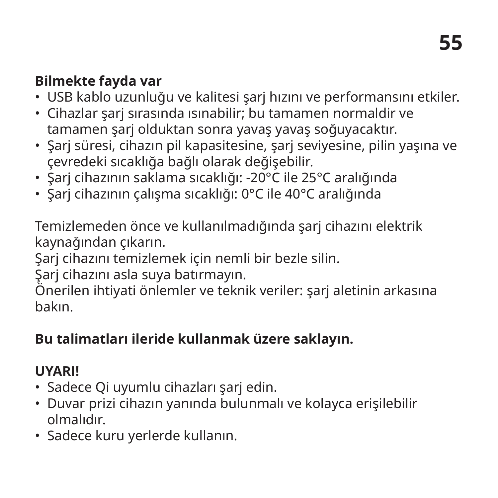#### **Bilmekte fayda var**

- USB kablo uzunluğu ve kalitesi şarj hızını ve performansını etkiler.
- Cihazlar şarj sırasında ısınabilir; bu tamamen normaldir ve tamamen şarj olduktan sonra yavaş yavaş soğuyacaktır.
- Şarj süresi, cihazın pil kapasitesine, şarj seviyesine, pilin yaşına ve çevredeki sıcaklığa bağlı olarak değişebilir.
- Şarj cihazının saklama sıcaklığı: -20°C ile 25°C aralığında
- Şarj cihazının çalışma sıcaklığı: 0°C ile 40°C aralığında

Temizlemeden önce ve kullanılmadığında şarj cihazını elektrik kaynağından çıkarın.

Şarj cihazını temizlemek için nemli bir bezle silin.

Şarj cihazını asla suya batırmayın.

Önerilen ihtiyati önlemler ve teknik veriler: şarj aletinin arkasına bakın.

#### **Bu talimatları ileride kullanmak üzere saklayın.**

#### **UYARI!**

- Sadece Qi uyumlu cihazları şarj edin.
- Duvar prizi cihazın yanında bulunmalı ve kolayca erişilebilir olmalıdır.
- Sadece kuru yerlerde kullanın.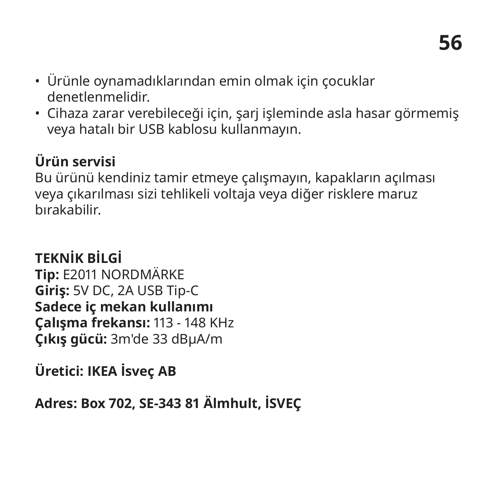- Ürünle oynamadıklarından emin olmak için çocuklar denetlenmelidir.
- Cihaza zarar verebileceği için, şarj işleminde asla hasar görmemiş veya hatalı bir USB kablosu kullanmayın.

#### **Ürün servisi**

Bu ürünü kendiniz tamir etmeye çalışmayın, kapakların açılması veya çıkarılması sizi tehlikeli voltaja veya diğer risklere maruz bırakabilir.

**TEKNİK BİLGİ Tip:** E2011 NORDMÄRKE **Giriş:** 5V DC, 2A USB Tip-C **Sadece iç mekan kullanımı Çalışma frekansı:** 113 - 148 KHz **Çıkış gücü:** 3m'de 33 dBµA/m

**Üretici: IKEA İsveç AB**

**Adres: Box 702, SE-343 81 Älmhult, İSVEÇ**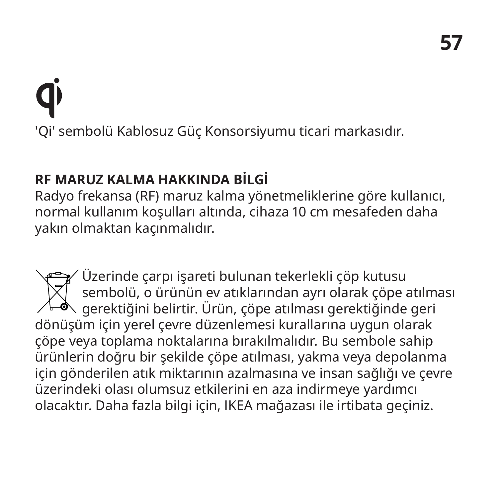# 'Qi' sembolü Kablosuz Güç Konsorsiyumu ticari markasıdır.

#### **RF MARUZ KALMA HAKKINDA BİLGİ**

Radyo frekansa (RF) maruz kalma yönetmeliklerine göre kullanıcı, normal kullanım koşulları altında, cihaza 10 cm mesafeden daha yakın olmaktan kaçınmalıdır.

Üzerinde çarpı işareti bulunan tekerlekli çöp kutusu sembolü, o ürünün ev atıklarından ayrı olarak çöpe atılması  $\sqrt{ }$  gerektiğini belirtir. Ürün, çöpe atılması gerektiğinde geri dönüşüm için yerel çevre düzenlemesi kurallarına uygun olarak çöpe veya toplama noktalarına bırakılmalıdır. Bu sembole sahip ürünlerin doğru bir şekilde çöpe atılması, yakma veya depolanma için gönderilen atık miktarının azalmasına ve insan sağlığı ve çevre üzerindeki olası olumsuz etkilerini en aza indirmeye yardımcı olacaktır. Daha fazla bilgi için, IKEA mağazası ile irtibata geçiniz.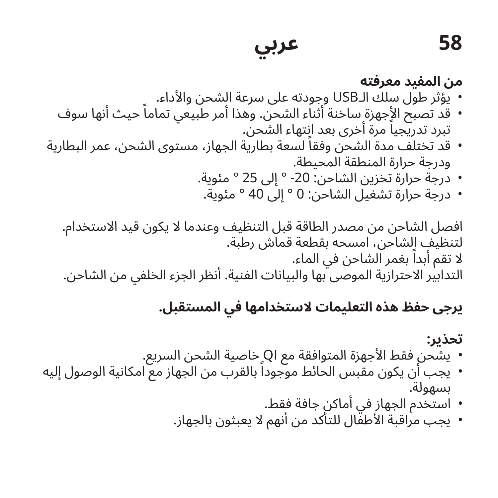#### **من المفيد معرفته**

- يؤثر طول سلك الـUSB وجودته عىل سرعة الشحن واألداء.
- قد تصبح الأجهزة ساخنة أثناء الشحن. وهذا أمر طبيعي تماماً حيث أنها سوف تبرد تدريجياً مرة أخرى بعد انتهاء الشحن.
- قد تختلف مدة الشحن وفقاً لسعة بطارية الجهاز، مستوى الشحن، عمر البطارية ودرجة حرارة المنطقة المحيطة.
	- درجة حرارة تخزين الشاحن: -20 ° إىل 25 ° مئوية.
	- درجة حرارة تشغيل الشاحن: 0 ° إىل 40 ° مئوية.

افصل الشاحن من مصدر الطاقة قبل التنظيف وعندما لا يكون قيد الاستخدام. لتنظيف الشاحن، امسحه بقطعة قماش رطبة. لا تقم أبداً بغمر الشاحن في الماء. التدابير الاحترازية الموصى بها والبيانات الفنية. أنظر الجزء الخلفي من الشاحن.

#### **يرجى حفظ هذه التعليمات الستخدامها في المستقبل.**

### **تحذير:** • يشحن فقط الأجهزة المتوافقة مع Ql خاصية الشحن السريع.<br>• يجب أن يكون مقبس الحائط موجوداً بالقرب من الجهاز مع امكانية الوصول إليه

- بسهولة.
	-
	- استخدم الجهاز في اماكن جافة فقط.<br>• يجب مراقبة الأطفال للتأكد من أنهم لا يعبثون بالجهاز.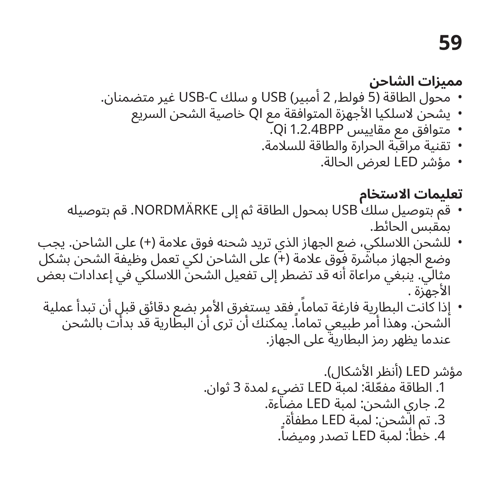#### **مميزات الشاحن**

- محول الطاقة )5 فولط, 2 أمبير( USB و سلك C-USB غير متضمنان.
	- يشحن السلكيا األجهزة المتوافقة مع QI خاصية الشحن السريع
		- متوافق مع مقاييس BPP1.2.4 Qi.
		- تقنية مراقبة الحرارة والطاقة للسالمة.
			- مؤشر LED لعرض الحالة.

#### **تعليمات االستخام**

- قم بتوصيل سلك USB بمحول الطاقة ثم إىل NORDMÄRKE. قم بتوصيله بمقبس الحائط.
- للشحن الالسلكي، ضع الجهاز الذي تريد شحنه فوق عالمة )+( عىل الشاحن. يجب وضع الجهاز مباشّرة فوق علامة (+) على الشاحن لكي تعمل وظيفة الشحن بشكل مثالي. ينبغي مراعاة أنه قد تضطر إىل تفعيل الشحن الالسلكي في إعدادات بعض الأجهزة .
	- إذا كانت البطارية فارغة تماماً، فقد يستغرق الأمر بضع دقائق قبلٍ أن تبدأ عملية الشحن. وهذا أمر طبيعي تماماً. يمكنك أن ترى أن البطّارية قد بدأت بالشحن عندما يظهر رمز البطارية عىل الجهاز.

مؤشر LED( أنظر األشكال(. 1 ّ . الطاقة مفعلة: لمبة LED تضيء لمدة 3 ثوان. .2 جاري الشحن: لمبة LED مضاءة. .3 تم الشحن: لمبة LED مطفأة. . ً .4 خطأ: لمبة LED تصدر وميضا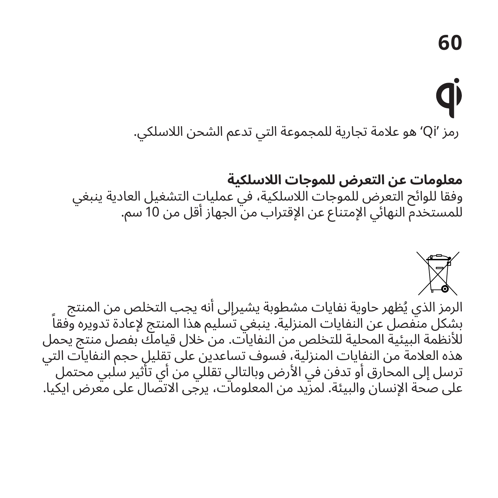## d)

رمز 'Qi 'هو عالمة تجارية للمجموعة التي تدعم الشحن الالسلكي.

#### **معلومات عن التعرض للموجات الالسلكية** وفقا للوائح التعرض للموجات الالسلكية، في عمليات التشغيل العادية ينبغي للمستخدم النهائي اإلمتناع عن اإلقتراب من الجهاز أقل من 10 سم.



الرمز الذي يُظهر حاوية نفايات مشطوبة يشيرإلى أنه يجب التخلص من المنتج الرمز الذي يَظهر حاويه نفايات مشطوبه يشيرإلى انه يجب التخلص من المنتج<br>بشكل منفصل عن النفايات المنزلية. ينبغي تسليم هذا المنتج لإعادة تدويره وفقاً لألنظمة البيئية المحلية للتخلص من النفايات. من خالل قيامك بفصل منتج يحمل هذه العلامة من النفايات المنزلية، فسوف تساعدين على تقليل حجم النفايات التي ترسل إىل المحارق أو تدفن في األرض وبالتالي تقللي من أي تأثير سلبي محتمل على صحة الإنسان والبيئة. لمزيد من المعلومات، يرجى الاتصال على معرض ايكيا.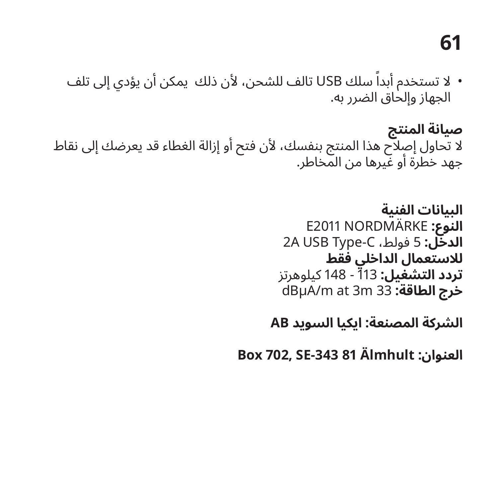• لا تستخدم أبداً سلك USB تالف للشحن، لأن ذلك يمكن أن يؤدي إلى تلف الجهاز وإلحاق الضرر به.

**صيانة المنتج** لا تحاول إصلاح هذا المنتج بنفسك، لأن فتح أو إزالة الغطاء قد يعرضك إلى نقاط جهد خطرة أو غيرها من المخاطر.

> **البيانات الفنية** E2011 NORDMÄRKE **:النوع** 2A USB Type-C ،فولط 5 **:الدخل لالستعمال الداخلي فقط تردد التشغيل:** 113 - 148 كيلوهرتز dBµA/m at 3m 33 **:الطاقة خرج**

**الشركة المصنعة: ايكيا السويد AB**

**Box 702, SE-343 81 Älmhult :العنوان**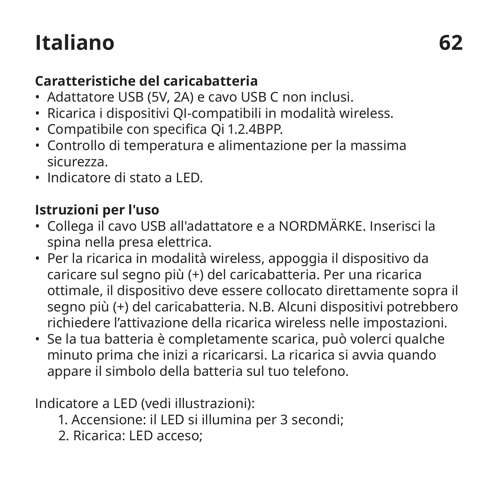## **Italiano 62**

#### **Caratteristiche del caricabatteria**

- Adattatore USB (5V, 2A) e cavo USB C non inclusi.
- Ricarica i dispositivi QI-compatibili in modalità wireless.
- Compatibile con specifica Qi 1.2.4BPP.
- Controllo di temperatura e alimentazione per la massima sicurezza.
- Indicatore di stato a LED.

#### **Istruzioni per l'uso**

- Collega il cavo USB all'adattatore e a NORDMÄRKE. Inserisci la spina nella presa elettrica.
- Per la ricarica in modalità wireless, appoggia il dispositivo da caricare sul segno più (+) del caricabatteria. Per una ricarica ottimale, il dispositivo deve essere collocato direttamente sopra il segno più (+) del caricabatteria. N.B. Alcuni dispositivi potrebbero richiedere l'attivazione della ricarica wireless nelle impostazioni.
- Se la tua batteria è completamente scarica, può volerci qualche minuto prima che inizi a ricaricarsi. La ricarica si avvia quando appare il simbolo della batteria sul tuo telefono.

Indicatore a LED (vedi illustrazioni):

1. Accensione: il LED si illumina per 3 secondi;

2. Ricarica: LED acceso;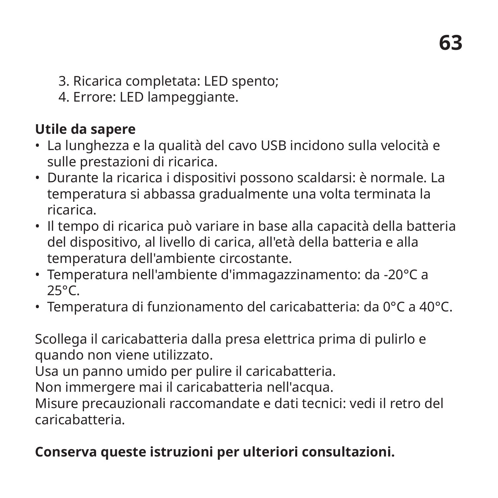- 3. Ricarica completata: LED spento;
- 4. Errore: LED lampeggiante.

#### **Utile da sapere**

- La lunghezza e la qualità del cavo USB incidono sulla velocità e sulle prestazioni di ricarica.
- Durante la ricarica i dispositivi possono scaldarsi: è normale. La temperatura si abbassa gradualmente una volta terminata la ricarica.
- Il tempo di ricarica può variare in base alla capacità della batteria del dispositivo, al livello di carica, all'età della batteria e alla temperatura dell'ambiente circostante.
- Temperatura nell'ambiente d'immagazzinamento: da -20°C a  $25^{\circ}C$ .
- Temperatura di funzionamento del caricabatteria: da 0°C a 40°C.

Scollega il caricabatteria dalla presa elettrica prima di pulirlo e quando non viene utilizzato.

Usa un panno umido per pulire il caricabatteria.

Non immergere mai il caricabatteria nell'acqua.

Misure precauzionali raccomandate e dati tecnici: vedi il retro del caricabatteria.

#### **Conserva queste istruzioni per ulteriori consultazioni.**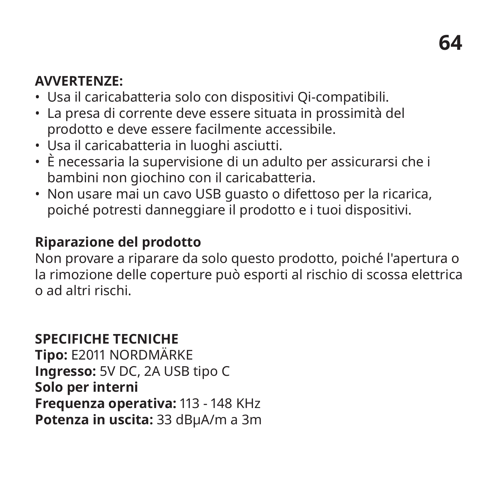#### **AVVERTENZE:**

- Usa il caricabatteria solo con dispositivi Qi-compatibili.
- La presa di corrente deve essere situata in prossimità del prodotto e deve essere facilmente accessibile.
- Usa il caricabatteria in luoghi asciutti.
- È necessaria la supervisione di un adulto per assicurarsi che i bambini non giochino con il caricabatteria.
- Non usare mai un cavo USB guasto o difettoso per la ricarica, poiché potresti danneggiare il prodotto e i tuoi dispositivi.

#### **Riparazione del prodotto**

Non provare a riparare da solo questo prodotto, poiché l'apertura o la rimozione delle coperture può esporti al rischio di scossa elettrica o ad altri rischi.

#### **SPECIFICHE TECNICHE**

**Tipo:** E2011 NORDMÄRKE **Ingresso:** 5V DC, 2A USB tipo C **Solo per interni Frequenza operativa:** 113 - 148 KHz **Potenza in uscita:** 33 dBµA/m a 3m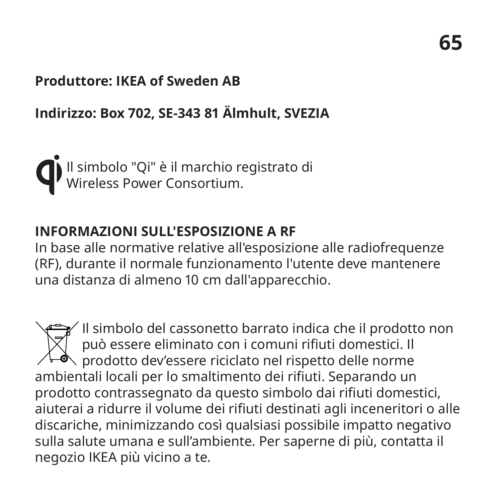#### **Produttore: IKEA of Sweden AB**

#### **Indirizzo: Box 702, SE-343 81 Älmhult, SVEZIA**

Il simbolo "Qi" è il marchio registrato di Wireless Power Consortium.

#### **INFORMAZIONI SULL'ESPOSIZIONE A RF**

In base alle normative relative all'esposizione alle radiofrequenze (RF), durante il normale funzionamento l'utente deve mantenere una distanza di almeno 10 cm dall'apparecchio.

Il simbolo del cassonetto barrato indica che il prodotto non può essere eliminato con i comuni rifiuti domestici. Il  $\backslash$  prodotto dev'essere riciclato nel rispetto delle norme ambientali locali per lo smaltimento dei rifiuti. Separando un prodotto contrassegnato da questo simbolo dai rifiuti domestici, aiuterai a ridurre il volume dei rifiuti destinati agli inceneritori o alle discariche, minimizzando così qualsiasi possibile impatto negativo sulla salute umana e sull'ambiente. Per saperne di più, contatta il negozio IKEA più vicino a te.